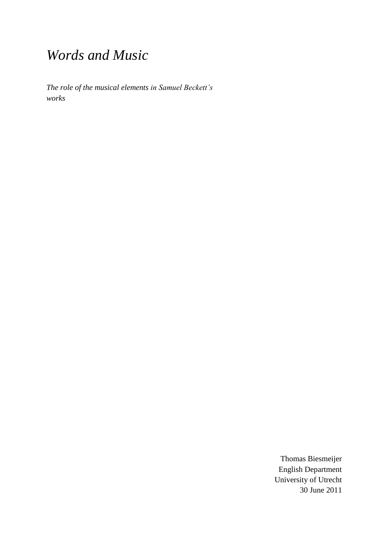## *Words and Music*

*The role of the musical elements in Samuel Beckett's works*

> Thomas Biesmeijer English Department University of Utrecht 30 June 2011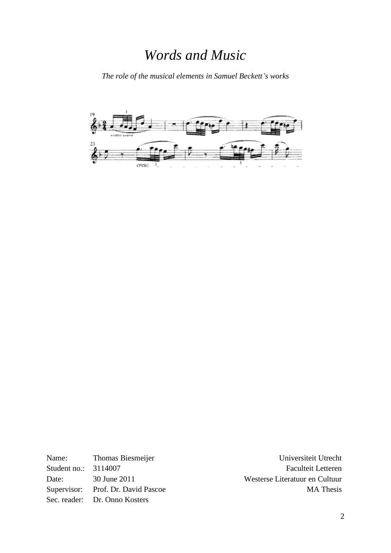## *Words and Music*

*The role of the musical elements in Samuel Beckett's works*



Name: Thomas Biesmeijer Student no.: 3114007 Date: 30 June 2011 Supervisor: Prof. Dr. David Pascoe Sec. reader: Dr. Onno Kosters

Universiteit Utrecht Faculteit Letteren Westerse Literatuur en Cultuur MA Thesis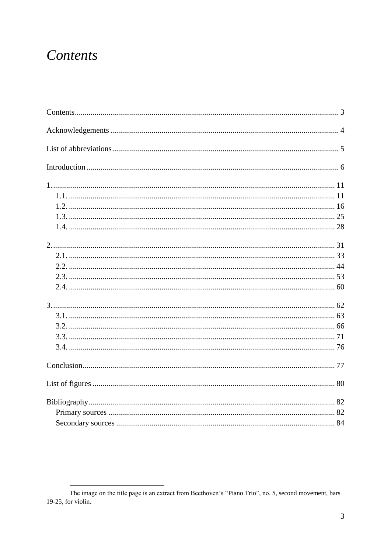## Contents

The image on the title page is an extract from Beethoven's "Piano Trio", no. 5, second movement, bars 19-25, for violin.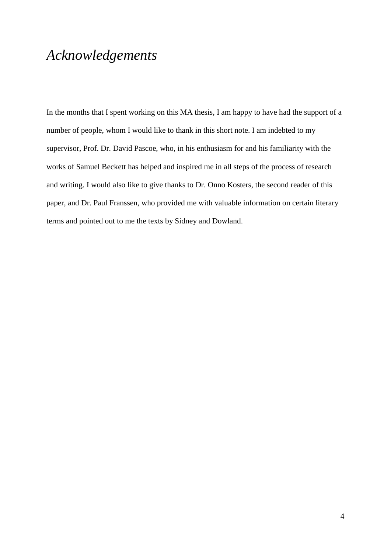## *Acknowledgements*

In the months that I spent working on this MA thesis, I am happy to have had the support of a number of people, whom I would like to thank in this short note. I am indebted to my supervisor, Prof. Dr. David Pascoe, who, in his enthusiasm for and his familiarity with the works of Samuel Beckett has helped and inspired me in all steps of the process of research and writing. I would also like to give thanks to Dr. Onno Kosters, the second reader of this paper, and Dr. Paul Franssen, who provided me with valuable information on certain literary terms and pointed out to me the texts by Sidney and Dowland.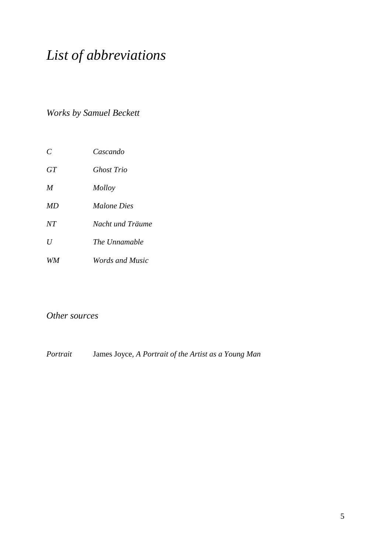# *List of abbreviations*

*Works by Samuel Beckett*

| $\mathcal{C}$ | Cascando               |
|---------------|------------------------|
| GT            | Ghost Trio             |
| M             | Molloy                 |
| MD            | <i>Malone Dies</i>     |
| NT            | Nacht und Träume       |
| U             | The Unnamable          |
| <i>WM</i>     | <i>Words and Music</i> |

### *Other sources*

*Portrait* James Joyce, *A Portrait of the Artist as a Young Man*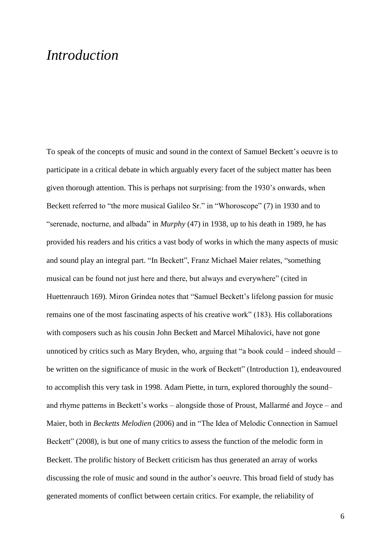### *Introduction*

To speak of the concepts of music and sound in the context of Samuel Beckett's oeuvre is to participate in a critical debate in which arguably every facet of the subject matter has been given thorough attention. This is perhaps not surprising: from the 1930"s onwards, when Beckett referred to "the more musical Galileo Sr." in "Whoroscope" (7) in 1930 and to "serenade, nocturne, and albada" in *Murphy* (47) in 1938, up to his death in 1989, he has provided his readers and his critics a vast body of works in which the many aspects of music and sound play an integral part. "In Beckett", Franz Michael Maier relates, "something musical can be found not just here and there, but always and everywhere" (cited in Huettenrauch 169). Miron Grindea notes that "Samuel Beckett"s lifelong passion for music remains one of the most fascinating aspects of his creative work" (183). His collaborations with composers such as his cousin John Beckett and Marcel Mihalovici, have not gone unnoticed by critics such as Mary Bryden, who, arguing that "a book could – indeed should – be written on the significance of music in the work of Beckett" (Introduction 1), endeavoured to accomplish this very task in 1998. Adam Piette, in turn, explored thoroughly the sound– and rhyme patterns in Beckett"s works – alongside those of Proust, Mallarmé and Joyce – and Maier, both in *Becketts Melodien* (2006) and in "The Idea of Melodic Connection in Samuel Beckett" (2008), is but one of many critics to assess the function of the melodic form in Beckett. The prolific history of Beckett criticism has thus generated an array of works discussing the role of music and sound in the author"s oeuvre. This broad field of study has generated moments of conflict between certain critics. For example, the reliability of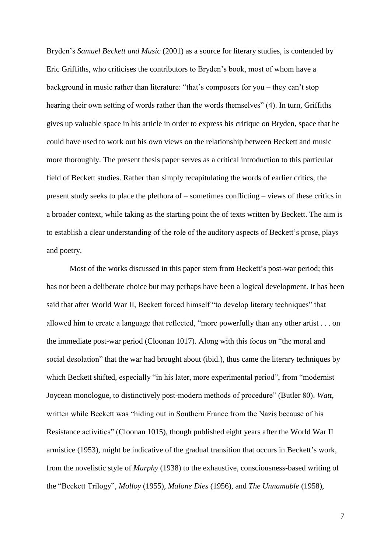Bryden"s *Samuel Beckett and Music* (2001) as a source for literary studies, is contended by Eric Griffiths, who criticises the contributors to Bryden"s book, most of whom have a background in music rather than literature: "that's composers for you – they can't stop hearing their own setting of words rather than the words themselves" (4). In turn, Griffiths gives up valuable space in his article in order to express his critique on Bryden, space that he could have used to work out his own views on the relationship between Beckett and music more thoroughly. The present thesis paper serves as a critical introduction to this particular field of Beckett studies. Rather than simply recapitulating the words of earlier critics, the present study seeks to place the plethora of – sometimes conflicting – views of these critics in a broader context, while taking as the starting point the of texts written by Beckett. The aim is to establish a clear understanding of the role of the auditory aspects of Beckett"s prose, plays and poetry.

Most of the works discussed in this paper stem from Beckett's post-war period; this has not been a deliberate choice but may perhaps have been a logical development. It has been said that after World War II, Beckett forced himself "to develop literary techniques" that allowed him to create a language that reflected, "more powerfully than any other artist . . . on the immediate post-war period (Cloonan 1017). Along with this focus on "the moral and social desolation" that the war had brought about (ibid.), thus came the literary techniques by which Beckett shifted, especially "in his later, more experimental period", from "modernist" Joycean monologue, to distinctively post-modern methods of procedure" (Butler 80). *Watt*, written while Beckett was "hiding out in Southern France from the Nazis because of his Resistance activities" (Cloonan 1015), though published eight years after the World War II armistice (1953), might be indicative of the gradual transition that occurs in Beckett"s work, from the novelistic style of *Murphy* (1938) to the exhaustive, consciousness-based writing of the "Beckett Trilogy", *Molloy* (1955), *Malone Dies* (1956), and *The Unnamable* (1958),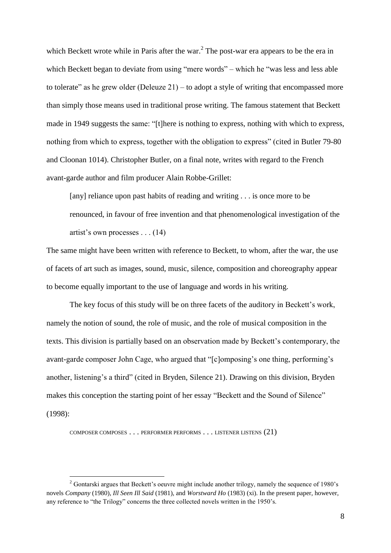which Beckett wrote while in Paris after the war.<sup>2</sup> The post-war era appears to be the era in which Beckett began to deviate from using "mere words" – which he "was less and less able to tolerate" as he grew older (Deleuze  $21$ ) – to adopt a style of writing that encompassed more than simply those means used in traditional prose writing. The famous statement that Beckett made in 1949 suggests the same: "[t]here is nothing to express, nothing with which to express, nothing from which to express, together with the obligation to express" (cited in Butler 79-80 and Cloonan 1014). Christopher Butler, on a final note, writes with regard to the French avant-garde author and film producer Alain Robbe-Grillet:

[any] reliance upon past habits of reading and writing . . . is once more to be renounced, in favour of free invention and that phenomenological investigation of the artist"s own processes . . . (14)

The same might have been written with reference to Beckett, to whom, after the war, the use of facets of art such as images, sound, music, silence, composition and choreography appear to become equally important to the use of language and words in his writing.

The key focus of this study will be on three facets of the auditory in Beckett's work, namely the notion of sound, the role of music, and the role of musical composition in the texts. This division is partially based on an observation made by Beckett"s contemporary, the avant-garde composer John Cage, who argued that "[c]omposing"s one thing, performing"s another, listening's a third" (cited in Bryden, Silence 21). Drawing on this division, Bryden makes this conception the starting point of her essay "Beckett and the Sound of Silence" (1998):

COMPOSER COMPOSES . . . PERFORMER PERFORMS . . . LISTENER LISTENS (21)

 $\overline{a}$ 

<sup>&</sup>lt;sup>2</sup> Gontarski argues that Beckett's oeuvre might include another trilogy, namely the sequence of 1980's novels *Company* (1980), *Ill Seen Ill Said* (1981), and *Worstward Ho* (1983) (xi). In the present paper, however, any reference to "the Trilogy" concerns the three collected novels written in the 1950"s.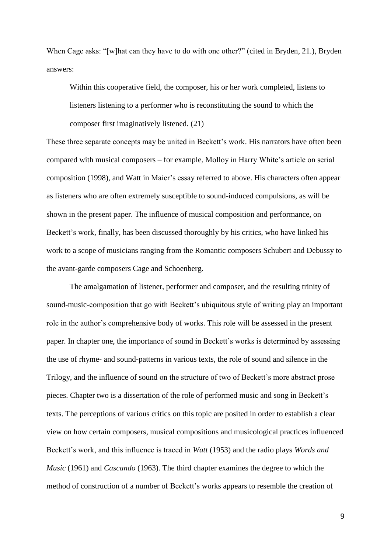When Cage asks: "[w]hat can they have to do with one other?" (cited in Bryden, 21.), Bryden answers:

Within this cooperative field, the composer, his or her work completed, listens to listeners listening to a performer who is reconstituting the sound to which the composer first imaginatively listened. (21)

These three separate concepts may be united in Beckett"s work. His narrators have often been compared with musical composers – for example, Molloy in Harry White"s article on serial composition (1998), and Watt in Maier"s essay referred to above. His characters often appear as listeners who are often extremely susceptible to sound-induced compulsions, as will be shown in the present paper. The influence of musical composition and performance, on Beckett's work, finally, has been discussed thoroughly by his critics, who have linked his work to a scope of musicians ranging from the Romantic composers Schubert and Debussy to the avant-garde composers Cage and Schoenberg.

The amalgamation of listener, performer and composer, and the resulting trinity of sound-music-composition that go with Beckett's ubiquitous style of writing play an important role in the author"s comprehensive body of works. This role will be assessed in the present paper. In chapter one, the importance of sound in Beckett"s works is determined by assessing the use of rhyme- and sound-patterns in various texts, the role of sound and silence in the Trilogy, and the influence of sound on the structure of two of Beckett"s more abstract prose pieces. Chapter two is a dissertation of the role of performed music and song in Beckett"s texts. The perceptions of various critics on this topic are posited in order to establish a clear view on how certain composers, musical compositions and musicological practices influenced Beckett's work, and this influence is traced in *Watt* (1953) and the radio plays *Words and Music* (1961) and *Cascando* (1963). The third chapter examines the degree to which the method of construction of a number of Beckett"s works appears to resemble the creation of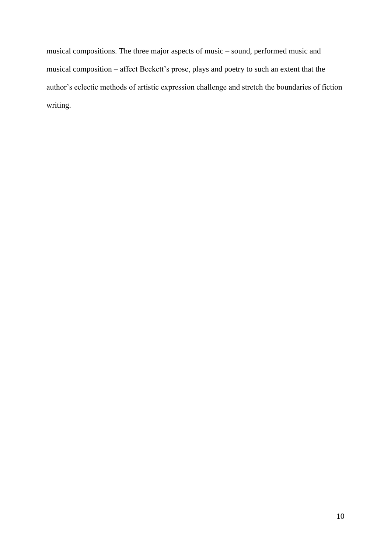musical compositions. The three major aspects of music – sound, performed music and musical composition – affect Beckett's prose, plays and poetry to such an extent that the author"s eclectic methods of artistic expression challenge and stretch the boundaries of fiction writing.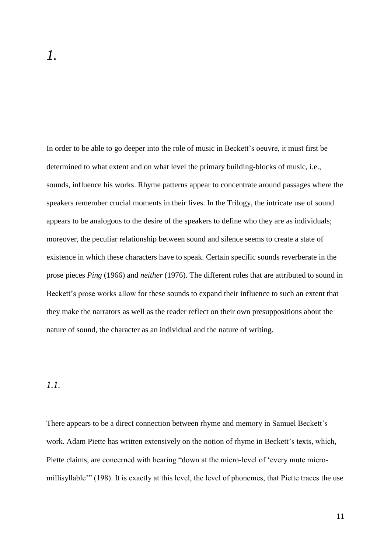In order to be able to go deeper into the role of music in Beckett"s oeuvre, it must first be determined to what extent and on what level the primary building-blocks of music, i.e., sounds, influence his works. Rhyme patterns appear to concentrate around passages where the speakers remember crucial moments in their lives. In the Trilogy, the intricate use of sound appears to be analogous to the desire of the speakers to define who they are as individuals; moreover, the peculiar relationship between sound and silence seems to create a state of existence in which these characters have to speak. Certain specific sounds reverberate in the prose pieces *Ping* (1966) and *neither* (1976). The different roles that are attributed to sound in Beckett's prose works allow for these sounds to expand their influence to such an extent that they make the narrators as well as the reader reflect on their own presuppositions about the nature of sound, the character as an individual and the nature of writing.

### *1.1.*

There appears to be a direct connection between rhyme and memory in Samuel Beckett"s work. Adam Piette has written extensively on the notion of rhyme in Beckett's texts, which, Piette claims, are concerned with hearing "down at the micro-level of "every mute micromillisyllable"" (198). It is exactly at this level, the level of phonemes, that Piette traces the use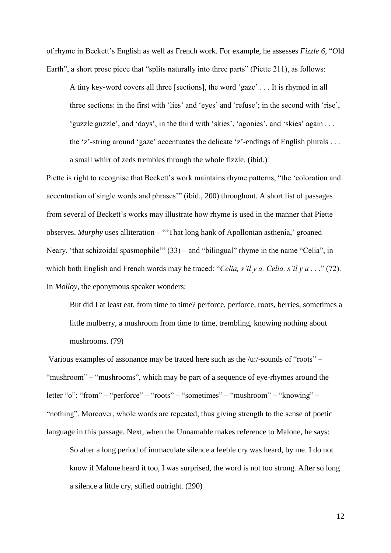of rhyme in Beckett"s English as well as French work. For example, he assesses *Fizzle 6*, "Old Earth", a short prose piece that "splits naturally into three parts" (Piette 211), as follows:

A tiny key-word covers all three [sections], the word "gaze" . . . It is rhymed in all three sections: in the first with 'lies' and 'eyes' and 'refuse'; in the second with 'rise', " guzzle guzzle", and 'days', in the third with 'skies', 'agonies', and 'skies' again ... the 'z'-string around 'gaze' accentuates the delicate 'z'-endings of English plurals  $\dots$ a small whirr of zeds trembles through the whole fizzle. (ibid.)

Piette is right to recognise that Beckett's work maintains rhyme patterns, "the 'coloration and accentuation of single words and phrases"" (ibid., 200) throughout. A short list of passages from several of Beckett"s works may illustrate how rhyme is used in the manner that Piette observes. *Murphy* uses alliteration – "That long hank of Apollonian asthenia,' groaned Neary, 'that schizoidal spasmophile'" (33) – and "bilingual" rhyme in the name "Celia", in which both English and French words may be traced: "*Celia, s'il y a, Celia, s'il y a* . . ." (72). In *Molloy*, the eponymous speaker wonders:

But did I at least eat, from time to time? perforce, perforce, roots, berries, sometimes a little mulberry, a mushroom from time to time, trembling, knowing nothing about mushrooms. (79)

Various examples of assonance may be traced here such as the /u:/-sounds of "roots" – "mushroom" – "mushrooms", which may be part of a sequence of eye-rhymes around the letter "o": "from" – "perforce" – "roots" – "sometimes" – "mushroom" – "knowing" – "nothing". Moreover, whole words are repeated, thus giving strength to the sense of poetic language in this passage. Next, when the Unnamable makes reference to Malone, he says:

So after a long period of immaculate silence a feeble cry was heard, by me. I do not know if Malone heard it too, I was surprised, the word is not too strong. After so long a silence a little cry, stifled outright. (290)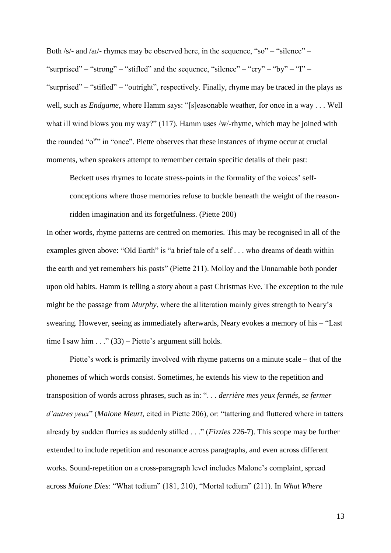Both /s/- and /ai/- rhymes may be observed here, in the sequence, "so" – "silence" – "surprised" – "strong" – "stifled" and the sequence, "silence" – "cry" – "by" – "I" – "surprised" – "stifled" – "outright", respectively. Finally, rhyme may be traced in the plays as well, such as *Endgame*, where Hamm says: "[s]easonable weather, for once in a way . . . Well what ill wind blows you my way?" (117). Hamm uses /w/-rhyme, which may be joined with the rounded "o<sup>w</sup>" in "once". Piette observes that these instances of rhyme occur at crucial moments, when speakers attempt to remember certain specific details of their past:

Beckett uses rhymes to locate stress-points in the formality of the voices' selfconceptions where those memories refuse to buckle beneath the weight of the reasonridden imagination and its forgetfulness. (Piette 200)

In other words, rhyme patterns are centred on memories. This may be recognised in all of the examples given above: "Old Earth" is "a brief tale of a self . . . who dreams of death within the earth and yet remembers his pasts" (Piette 211). Molloy and the Unnamable both ponder upon old habits. Hamm is telling a story about a past Christmas Eve. The exception to the rule might be the passage from *Murphy*, where the alliteration mainly gives strength to Neary"s swearing. However, seeing as immediately afterwards, Neary evokes a memory of his – "Last time I saw him  $\ldots$  " (33) – Piette's argument still holds.

Piette's work is primarily involved with rhyme patterns on a minute scale – that of the phonemes of which words consist. Sometimes, he extends his view to the repetition and transposition of words across phrases, such as in: ". . . *derrière mes yeux fermés, se fermer d'autres yeux*" (*Malone Meurt*, cited in Piette 206), or: "tattering and fluttered where in tatters already by sudden flurries as suddenly stilled . . ." (*Fizzles* 226-7). This scope may be further extended to include repetition and resonance across paragraphs, and even across different works. Sound-repetition on a cross-paragraph level includes Malone"s complaint, spread across *Malone Dies*: "What tedium" (181, 210), "Mortal tedium" (211). In *What Where*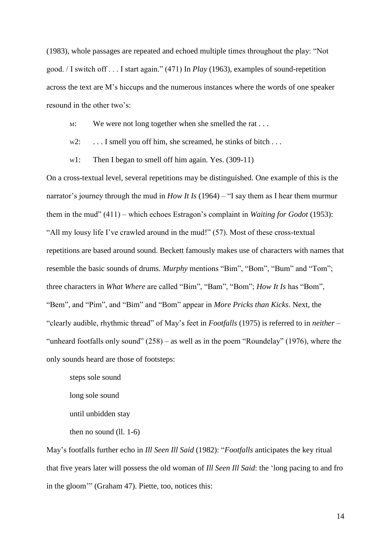(1983), whole passages are repeated and echoed multiple times throughout the play: "Not good. / I switch off . . . I start again." (471) In *Play* (1963), examples of sound-repetition across the text are M"s hiccups and the numerous instances where the words of one speaker resound in the other two's:

M: We were not long together when she smelled the rat ...

- w2: ... I smell you off him, she screamed, he stinks of bitch ...
- w1: Then I began to smell off him again. Yes. (309-11)

On a cross-textual level, several repetitions may be distinguished. One example of this is the narrator's journey through the mud in *How It Is* (1964) – "I say them as I hear them murmur them in the mud" (411) – which echoes Estragon"s complaint in *Waiting for Godot* (1953): "All my lousy life I"ve crawled around in the mud!" (57). Most of these cross-textual repetitions are based around sound. Beckett famously makes use of characters with names that resemble the basic sounds of drums. *Murphy* mentions "Bim", "Bom", "Bum" and "Tom"; three characters in *What Where* are called "Bim", "Bam", "Bom"; *How It Is* has "Bom", "Bem", and "Pim", and "Bim" and "Bom" appear in *More Pricks than Kicks*. Next, the "clearly audible, rhythmic thread" of May"s feet in *Footfalls* (1975) is referred to in *neither* – "unheard footfalls only sound"  $(258)$  – as well as in the poem "Roundelay"  $(1976)$ , where the only sounds heard are those of footsteps:

steps sole sound long sole sound until unbidden stay then no sound (ll. 1-6)

May"s footfalls further echo in *Ill Seen Ill Said* (1982): "*Footfalls* anticipates the key ritual that five years later will possess the old woman of *Ill Seen Ill Said*: the "long pacing to and fro in the gloom"" (Graham 47). Piette, too, notices this: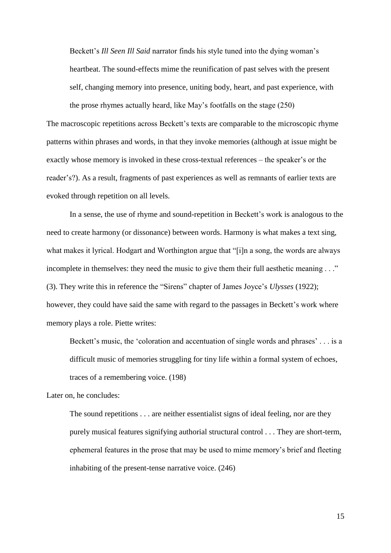Beckett's *Ill Seen Ill Said* narrator finds his style tuned into the dying woman's heartbeat. The sound-effects mime the reunification of past selves with the present self, changing memory into presence, uniting body, heart, and past experience, with the prose rhymes actually heard, like May"s footfalls on the stage (250)

The macroscopic repetitions across Beckett's texts are comparable to the microscopic rhyme patterns within phrases and words, in that they invoke memories (although at issue might be exactly whose memory is invoked in these cross-textual references – the speaker's or the reader"s?). As a result, fragments of past experiences as well as remnants of earlier texts are evoked through repetition on all levels.

In a sense, the use of rhyme and sound-repetition in Beckett's work is analogous to the need to create harmony (or dissonance) between words. Harmony is what makes a text sing, what makes it lyrical. Hodgart and Worthington argue that "[i]n a song, the words are always incomplete in themselves: they need the music to give them their full aesthetic meaning . . ." (3). They write this in reference the "Sirens" chapter of James Joyce"s *Ulysses* (1922); however, they could have said the same with regard to the passages in Beckett's work where memory plays a role. Piette writes:

Beckett's music, the 'coloration and accentuation of single words and phrases' . . . is a difficult music of memories struggling for tiny life within a formal system of echoes, traces of a remembering voice. (198)

Later on, he concludes:

The sound repetitions . . . are neither essentialist signs of ideal feeling, nor are they purely musical features signifying authorial structural control . . . They are short-term, ephemeral features in the prose that may be used to mime memory"s brief and fleeting inhabiting of the present-tense narrative voice. (246)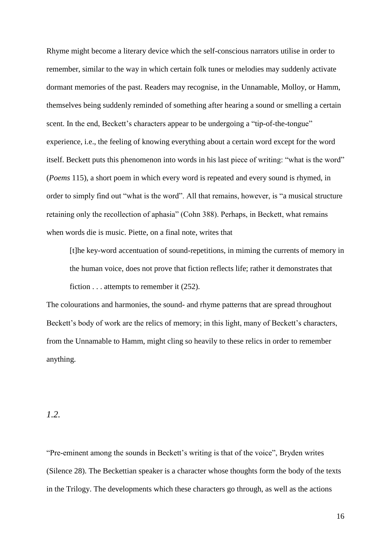Rhyme might become a literary device which the self-conscious narrators utilise in order to remember, similar to the way in which certain folk tunes or melodies may suddenly activate dormant memories of the past. Readers may recognise, in the Unnamable, Molloy, or Hamm, themselves being suddenly reminded of something after hearing a sound or smelling a certain scent. In the end, Beckett's characters appear to be undergoing a "tip-of-the-tongue" experience, i.e., the feeling of knowing everything about a certain word except for the word itself. Beckett puts this phenomenon into words in his last piece of writing: "what is the word" (*Poems* 115), a short poem in which every word is repeated and every sound is rhymed, in order to simply find out "what is the word". All that remains, however, is "a musical structure retaining only the recollection of aphasia" (Cohn 388). Perhaps, in Beckett, what remains when words die is music. Piette, on a final note, writes that

[t]he key-word accentuation of sound-repetitions, in miming the currents of memory in the human voice, does not prove that fiction reflects life; rather it demonstrates that fiction . . . attempts to remember it (252).

The colourations and harmonies, the sound- and rhyme patterns that are spread throughout Beckett's body of work are the relics of memory; in this light, many of Beckett's characters, from the Unnamable to Hamm, might cling so heavily to these relics in order to remember anything.

### *1.2.*

"Pre-eminent among the sounds in Beckett"s writing is that of the voice", Bryden writes (Silence 28). The Beckettian speaker is a character whose thoughts form the body of the texts in the Trilogy. The developments which these characters go through, as well as the actions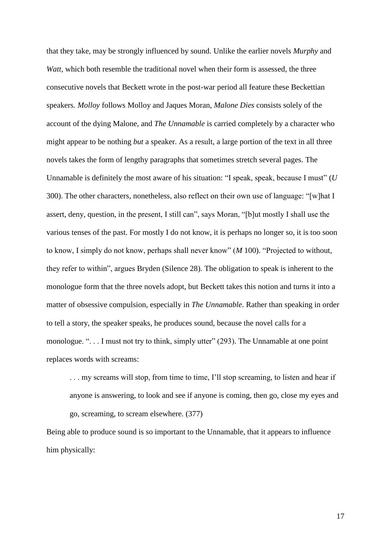that they take, may be strongly influenced by sound. Unlike the earlier novels *Murphy* and *Watt*, which both resemble the traditional novel when their form is assessed, the three consecutive novels that Beckett wrote in the post-war period all feature these Beckettian speakers. *Molloy* follows Molloy and Jaques Moran, *Malone Dies* consists solely of the account of the dying Malone, and *The Unnamable* is carried completely by a character who might appear to be nothing *but* a speaker. As a result, a large portion of the text in all three novels takes the form of lengthy paragraphs that sometimes stretch several pages. The Unnamable is definitely the most aware of his situation: "I speak, speak, because I must" (*U*  300). The other characters, nonetheless, also reflect on their own use of language: "[w]hat I assert, deny, question, in the present, I still can", says Moran, "[b]ut mostly I shall use the various tenses of the past. For mostly I do not know, it is perhaps no longer so, it is too soon to know, I simply do not know, perhaps shall never know" (*M* 100). "Projected to without, they refer to within", argues Bryden (Silence 28). The obligation to speak is inherent to the monologue form that the three novels adopt, but Beckett takes this notion and turns it into a matter of obsessive compulsion, especially in *The Unnamable*. Rather than speaking in order to tell a story, the speaker speaks, he produces sound, because the novel calls for a monologue. ". . . I must not try to think, simply utter" (293). The Unnamable at one point replaces words with screams:

. . . my screams will stop, from time to time, I"ll stop screaming, to listen and hear if anyone is answering, to look and see if anyone is coming, then go, close my eyes and go, screaming, to scream elsewhere. (377)

Being able to produce sound is so important to the Unnamable, that it appears to influence him physically: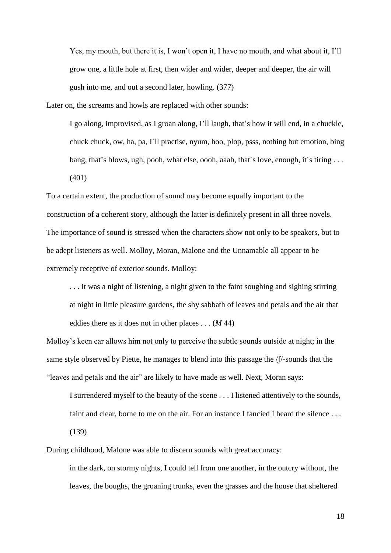Yes, my mouth, but there it is, I won"t open it, I have no mouth, and what about it, I"ll grow one, a little hole at first, then wider and wider, deeper and deeper, the air will gush into me, and out a second later, howling. (377)

Later on, the screams and howls are replaced with other sounds:

I go along, improvised, as I groan along, I"ll laugh, that"s how it will end, in a chuckle, chuck chuck, ow, ha, pa, I´ll practise, nyum, hoo, plop, psss, nothing but emotion, bing bang, that's blows, ugh, pooh, what else, oooh, aaah, that's love, enough, it's tiring ... (401)

To a certain extent, the production of sound may become equally important to the construction of a coherent story, although the latter is definitely present in all three novels. The importance of sound is stressed when the characters show not only to be speakers, but to be adept listeners as well. Molloy, Moran, Malone and the Unnamable all appear to be extremely receptive of exterior sounds. Molloy:

. . . it was a night of listening, a night given to the faint soughing and sighing stirring at night in little pleasure gardens, the shy sabbath of leaves and petals and the air that eddies there as it does not in other places . . . (*M* 44)

Molloy"s keen ear allows him not only to perceive the subtle sounds outside at night; in the same style observed by Piette, he manages to blend into this passage the /ʃ/-sounds that the "leaves and petals and the air" are likely to have made as well. Next, Moran says:

I surrendered myself to the beauty of the scene . . . I listened attentively to the sounds, faint and clear, borne to me on the air. For an instance I fancied I heard the silence ... (139)

in the dark, on stormy nights, I could tell from one another, in the outcry without, the leaves, the boughs, the groaning trunks, even the grasses and the house that sheltered

During childhood, Malone was able to discern sounds with great accuracy: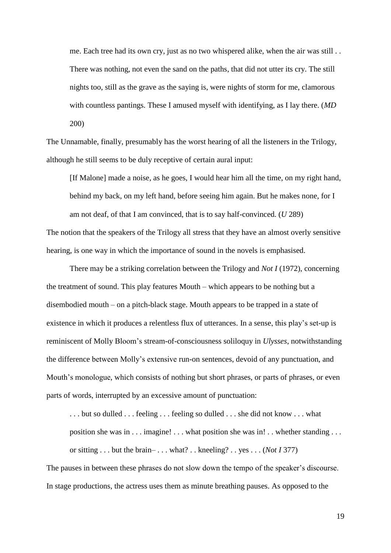me. Each tree had its own cry, just as no two whispered alike, when the air was still . . There was nothing, not even the sand on the paths, that did not utter its cry. The still nights too, still as the grave as the saying is, were nights of storm for me, clamorous with countless pantings. These I amused myself with identifying, as I lay there. (*MD*  200)

The Unnamable, finally, presumably has the worst hearing of all the listeners in the Trilogy, although he still seems to be duly receptive of certain aural input:

[If Malone] made a noise, as he goes, I would hear him all the time, on my right hand, behind my back, on my left hand, before seeing him again. But he makes none, for I am not deaf, of that I am convinced, that is to say half-convinced. (*U* 289) The notion that the speakers of the Trilogy all stress that they have an almost overly sensitive hearing, is one way in which the importance of sound in the novels is emphasised.

There may be a striking correlation between the Trilogy and *Not I* (1972), concerning the treatment of sound. This play features Mouth – which appears to be nothing but a disembodied mouth – on a pitch-black stage. Mouth appears to be trapped in a state of existence in which it produces a relentless flux of utterances. In a sense, this play"s set-up is reminiscent of Molly Bloom"s stream-of-consciousness soliloquy in *Ulysses*, notwithstanding the difference between Molly"s extensive run-on sentences, devoid of any punctuation, and Mouth's monologue, which consists of nothing but short phrases, or parts of phrases, or even parts of words, interrupted by an excessive amount of punctuation:

... but so dulled ... feeling ... feeling so dulled ... she did not know ... what position she was in . . . imagine! . . . what position she was in! . . whether standing . . . or sitting . . . but the brain– . . . what? . . kneeling? . . yes . . . (*Not I* 377)

The pauses in between these phrases do not slow down the tempo of the speaker's discourse. In stage productions, the actress uses them as minute breathing pauses. As opposed to the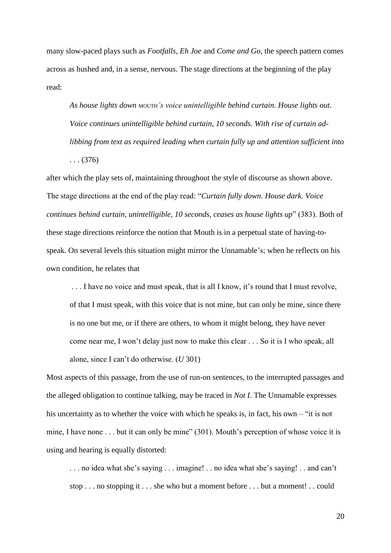many slow-paced plays such as *Footfalls*, *Eh Joe* and *Come and Go*, the speech pattern comes across as hushed and, in a sense, nervous. The stage directions at the beginning of the play read:

*As house lights down* MOUTH*'s voice unintelligible behind curtain. House lights out. Voice continues unintelligible behind curtain, 10 seconds. With rise of curtain adlibbing from text as required leading when curtain fully up and attention sufficient into*  . . . (376)

after which the play sets of, maintaining throughout the style of discourse as shown above. The stage directions at the end of the play read: "*Curtain fully down. House dark. Voice continues behind curtain, unintelligible, 10 seconds, ceases as house lights up*" (383). Both of these stage directions reinforce the notion that Mouth is in a perpetual state of having-tospeak. On several levels this situation might mirror the Unnamable's; when he reflects on his own condition, he relates that

... I have no voice and must speak, that is all I know, it's round that I must revolve, of that I must speak, with this voice that is not mine, but can only be mine, since there is no one but me, or if there are others, to whom it might belong, they have never come near me, I won"t delay just now to make this clear . . . So it is I who speak, all alone, since I can"t do otherwise. (*U* 301)

Most aspects of this passage, from the use of run-on sentences, to the interrupted passages and the alleged obligation to continue talking, may be traced in *Not I*. The Unnamable expresses his uncertainty as to whether the voice with which he speaks is, in fact, his own – "it is not mine, I have none . . . but it can only be mine" (301). Mouth's perception of whose voice it is using and hearing is equally distorted:

. . . no idea what she"s saying . . . imagine! . . no idea what she"s saying! . . and can"t stop . . . no stopping it . . . she who but a moment before . . . but a moment! . . could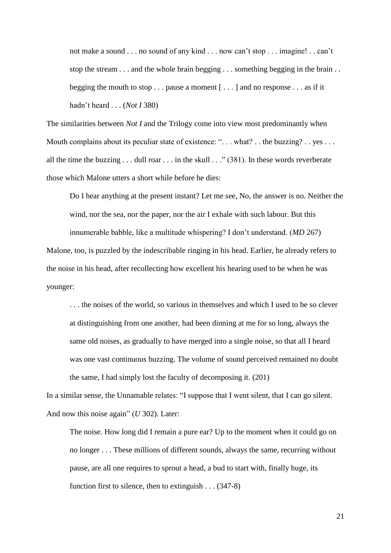not make a sound . . . no sound of any kind . . . now can"t stop . . . imagine! . . can"t stop the stream . . . and the whole brain begging . . . something begging in the brain . . begging the mouth to stop  $\dots$  pause a moment  $[\dots]$  and no response  $\dots$  as if it hadn"t heard . . . (*Not I* 380)

The similarities between *Not I* and the Trilogy come into view most predominantly when Mouth complains about its peculiar state of existence: "... what? .. the buzzing? .. yes ... all the time the buzzing  $\dots$  dull roar  $\dots$  in the skull  $\dots$  (381). In these words reverberate those which Malone utters a short while before he dies:

Do I hear anything at the present instant? Let me see, No, the answer is no. Neither the wind, nor the sea, nor the paper, nor the air I exhale with such labour. But this innumerable babble, like a multitude whispering? I don"t understand. (*MD* 267)

Malone, too, is puzzled by the indescribable ringing in his head. Earlier, he already refers to the noise in his head, after recollecting how excellent his hearing used to be when he was younger:

. . . the noises of the world, so various in themselves and which I used to be so clever at distinguishing from one another, had been dinning at me for so long, always the same old noises, as gradually to have merged into a single noise, so that all I heard was one vast continuous buzzing. The volume of sound perceived remained no doubt the same, I had simply lost the faculty of decomposing it. (201)

In a similar sense, the Unnamable relates: "I suppose that I went silent, that I can go silent. And now this noise again" (*U* 302). Later:

The noise. How long did I remain a pure ear? Up to the moment when it could go on no longer . . . These millions of different sounds, always the same, recurring without pause, are all one requires to sprout a head, a bud to start with, finally huge, its function first to silence, then to extinguish . . . (347-8)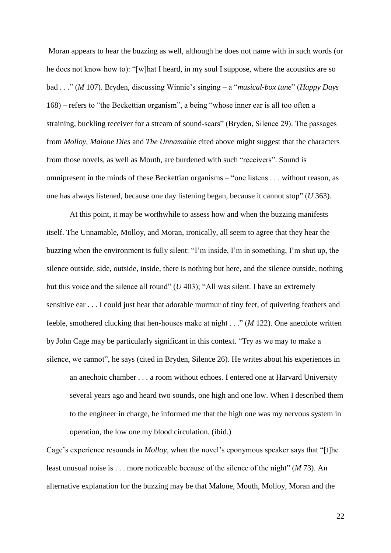Moran appears to hear the buzzing as well, although he does not name with in such words (or he does not know how to): "[w]hat I heard, in my soul I suppose, where the acoustics are so bad . . ." (*M* 107). Bryden, discussing Winnie"s singing – a "*musical-box tune*" (*Happy Days* 168) – refers to "the Beckettian organism", a being "whose inner ear is all too often a straining, buckling receiver for a stream of sound-scars" (Bryden, Silence 29). The passages from *Molloy, Malone Dies* and *The Unnamable* cited above might suggest that the characters from those novels, as well as Mouth, are burdened with such "receivers". Sound is omnipresent in the minds of these Beckettian organisms – "one listens . . . without reason, as one has always listened, because one day listening began, because it cannot stop" (*U* 363).

At this point, it may be worthwhile to assess how and when the buzzing manifests itself. The Unnamable, Molloy, and Moran, ironically, all seem to agree that they hear the buzzing when the environment is fully silent: "I"m inside, I"m in something, I"m shut up, the silence outside, side, outside, inside, there is nothing but here, and the silence outside, nothing but this voice and the silence all round" (*U* 403); "All was silent. I have an extremely sensitive ear . . . I could just hear that adorable murmur of tiny feet, of quivering feathers and feeble, smothered clucking that hen-houses make at night . . ." (*M* 122). One anecdote written by John Cage may be particularly significant in this context. "Try as we may to make a silence, we cannot", he says (cited in Bryden, Silence 26). He writes about his experiences in an anechoic chamber . . . a room without echoes. I entered one at Harvard University several years ago and heard two sounds, one high and one low. When I described them to the engineer in charge, he informed me that the high one was my nervous system in operation, the low one my blood circulation. (ibid.)

Cage's experience resounds in *Molloy*, when the novel's eponymous speaker says that "[t]he least unusual noise is . . . more noticeable because of the silence of the night" (*M* 73). An alternative explanation for the buzzing may be that Malone, Mouth, Molloy, Moran and the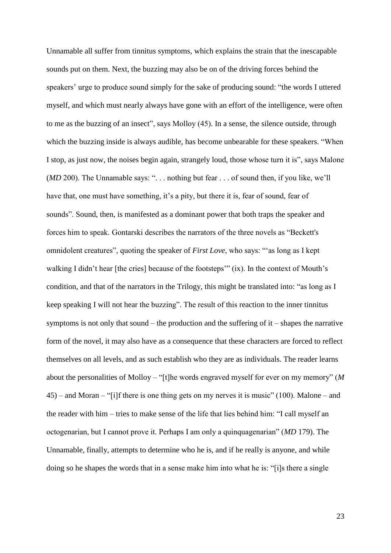Unnamable all suffer from tinnitus symptoms, which explains the strain that the inescapable sounds put on them. Next, the buzzing may also be on of the driving forces behind the speakers' urge to produce sound simply for the sake of producing sound: "the words I uttered myself, and which must nearly always have gone with an effort of the intelligence, were often to me as the buzzing of an insect", says Molloy (45). In a sense, the silence outside, through which the buzzing inside is always audible, has become unbearable for these speakers. "When I stop, as just now, the noises begin again, strangely loud, those whose turn it is", says Malone (*MD* 200). The Unnamable says: "... nothing but fear ... of sound then, if you like, we'll have that, one must have something, it's a pity, but there it is, fear of sound, fear of sounds". Sound, then, is manifested as a dominant power that both traps the speaker and forces him to speak. Gontarski describes the narrators of the three novels as "Beckett's omnidolent creatures", quoting the speaker of *First Love*, who says: ""as long as I kept walking I didn't hear [the cries] because of the footsteps" (ix). In the context of Mouth's condition, and that of the narrators in the Trilogy, this might be translated into: "as long as I keep speaking I will not hear the buzzing". The result of this reaction to the inner tinnitus symptoms is not only that sound – the production and the suffering of  $it$  – shapes the narrative form of the novel, it may also have as a consequence that these characters are forced to reflect themselves on all levels, and as such establish who they are as individuals. The reader learns about the personalities of Molloy – "[t]he words engraved myself for ever on my memory" (*M*  45) – and Moran – "[i]f there is one thing gets on my nerves it is music" (100). Malone – and the reader with him – tries to make sense of the life that lies behind him: "I call myself an octogenarian, but I cannot prove it. Perhaps I am only a quinquagenarian" (*MD* 179). The Unnamable, finally, attempts to determine who he is, and if he really is anyone, and while doing so he shapes the words that in a sense make him into what he is: "[i]s there a single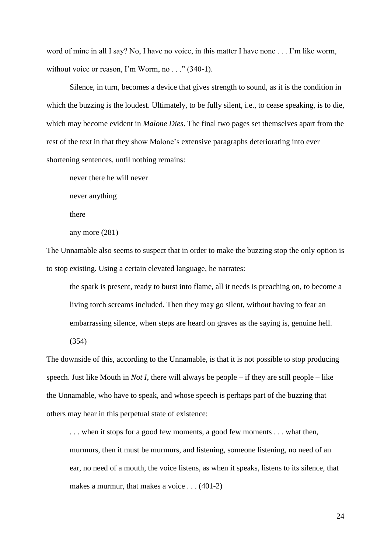word of mine in all I say? No, I have no voice, in this matter I have none . . . I'm like worm, without voice or reason, I'm Worm, no . . ." (340-1).

Silence, in turn, becomes a device that gives strength to sound, as it is the condition in which the buzzing is the loudest. Ultimately, to be fully silent, i.e., to cease speaking, is to die, which may become evident in *Malone Dies*. The final two pages set themselves apart from the rest of the text in that they show Malone"s extensive paragraphs deteriorating into ever shortening sentences, until nothing remains:

never there he will never

never anything

there

any more (281)

The Unnamable also seems to suspect that in order to make the buzzing stop the only option is to stop existing. Using a certain elevated language, he narrates:

the spark is present, ready to burst into flame, all it needs is preaching on, to become a living torch screams included. Then they may go silent, without having to fear an embarrassing silence, when steps are heard on graves as the saying is, genuine hell. (354)

The downside of this, according to the Unnamable, is that it is not possible to stop producing speech. Just like Mouth in *Not I*, there will always be people – if they are still people – like the Unnamable, who have to speak, and whose speech is perhaps part of the buzzing that others may hear in this perpetual state of existence:

. . . when it stops for a good few moments, a good few moments . . . what then, murmurs, then it must be murmurs, and listening, someone listening, no need of an ear, no need of a mouth, the voice listens, as when it speaks, listens to its silence, that makes a murmur, that makes a voice . . . (401-2)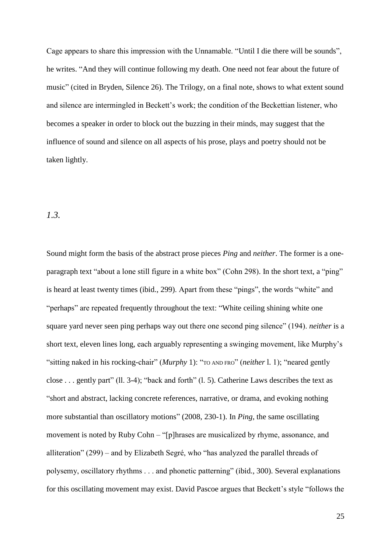Cage appears to share this impression with the Unnamable. "Until I die there will be sounds", he writes. "And they will continue following my death. One need not fear about the future of music" (cited in Bryden, Silence 26). The Trilogy, on a final note, shows to what extent sound and silence are intermingled in Beckett's work; the condition of the Beckettian listener, who becomes a speaker in order to block out the buzzing in their minds, may suggest that the influence of sound and silence on all aspects of his prose, plays and poetry should not be taken lightly.

### *1.3.*

Sound might form the basis of the abstract prose pieces *Ping* and *neither*. The former is a oneparagraph text "about a lone still figure in a white box" (Cohn 298). In the short text, a "ping" is heard at least twenty times (ibid., 299). Apart from these "pings", the words "white" and "perhaps" are repeated frequently throughout the text: "White ceiling shining white one square yard never seen ping perhaps way out there one second ping silence" (194). *neither* is a short text, eleven lines long, each arguably representing a swinging movement, like Murphy"s "sitting naked in his rocking-chair" (*Murphy* 1): "TO AND FRO" (*neither* l. 1); "neared gently close . . . gently part" (ll. 3-4); "back and forth" (l. 5). Catherine Laws describes the text as "short and abstract, lacking concrete references, narrative, or drama, and evoking nothing more substantial than oscillatory motions" (2008, 230-1). In *Ping*, the same oscillating movement is noted by Ruby Cohn – "[p]hrases are musicalized by rhyme, assonance, and alliteration" (299) – and by Elizabeth Segré, who "has analyzed the parallel threads of polysemy, oscillatory rhythms . . . and phonetic patterning" (ibid., 300). Several explanations for this oscillating movement may exist. David Pascoe argues that Beckett's style "follows the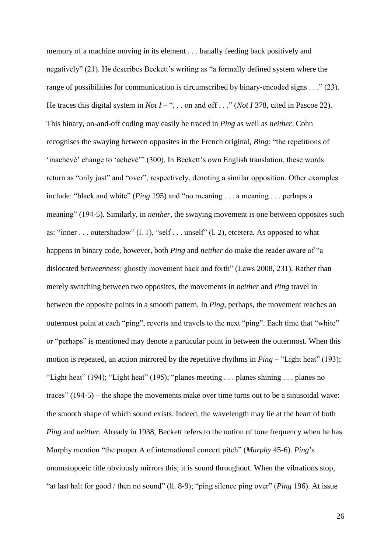memory of a machine moving in its element . . . banally feeding back positively and negatively" (21). He describes Beckett's writing as "a formally defined system where the range of possibilities for communication is circumscribed by binary-encoded signs . . ." (23). He traces this digital system in *Not I* – "... on and off ..." (*Not I* 378, cited in Pascoe 22). This binary, on-and-off coding may easily be traced in *Ping* as well as *neither*. Cohn recognises the swaying between opposites in the French original, *Bing*: "the repetitions of 'inachevé' change to 'achevé''' (300). In Beckett's own English translation, these words return as "only just" and "over", respectively, denoting a similar opposition. Other examples include: "black and white" (*Ping* 195) and "no meaning . . . a meaning . . . perhaps a meaning" (194-5). Similarly, in *neither*, the swaying movement is one between opposites such as: "inner . . . outershadow" (l. 1), "self . . . unself" (l. 2), etcetera. As opposed to what happens in binary code, however, both *Ping* and *neither* do make the reader aware of "a dislocated *betweenness*: ghostly movement back and forth" (Laws 2008, 231). Rather than merely switching between two opposites, the movements in *neither* and *Ping* travel in between the opposite points in a smooth pattern. In *Ping*, perhaps, the movement reaches an outermost point at each "ping", reverts and travels to the next "ping". Each time that "white" or "perhaps" is mentioned may denote a particular point in between the outermost. When this motion is repeated, an action mirrored by the repetitive rhythms in *Ping* – "Light heat" (193); "Light heat" (194); "Light heat" (195); "planes meeting . . . planes shining . . . planes no traces" (194-5) – the shape the movements make over time turns out to be a sinusoidal wave: the smooth shape of which sound exists. Indeed, the wavelength may lie at the heart of both *Ping* and *neither*. Already in 1938, Beckett refers to the notion of tone frequency when he has Murphy mention "the proper A of international concert pitch" (*Murphy* 45-6). *Ping*"s onomatopoeic title obviously mirrors this; it is sound throughout. When the vibrations stop, "at last halt for good / then no sound" (ll. 8-9); "ping silence ping over" (*Ping* 196). At issue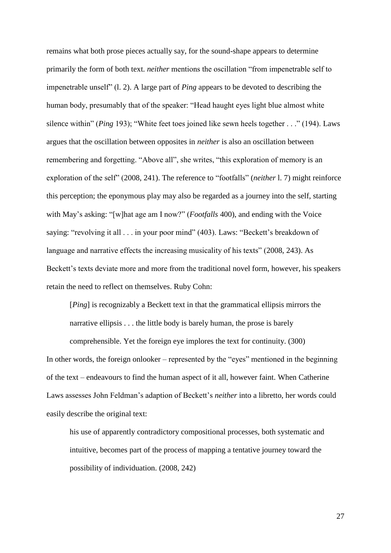remains what both prose pieces actually say, for the sound-shape appears to determine primarily the form of both text. *neither* mentions the oscillation "from impenetrable self to impenetrable unself" (l. 2). A large part of *Ping* appears to be devoted to describing the human body, presumably that of the speaker: "Head haught eyes light blue almost white silence within" (*Ping* 193); "White feet toes joined like sewn heels together . . ." (194). Laws argues that the oscillation between opposites in *neither* is also an oscillation between remembering and forgetting. "Above all", she writes, "this exploration of memory is an exploration of the self" (2008, 241). The reference to "footfalls" (*neither* l. 7) might reinforce this perception; the eponymous play may also be regarded as a journey into the self, starting with May"s asking: "[w]hat age am I now?" (*Footfalls* 400), and ending with the Voice saying: "revolving it all . . . in your poor mind" (403). Laws: "Beckett's breakdown of language and narrative effects the increasing musicality of his texts" (2008, 243). As Beckett's texts deviate more and more from the traditional novel form, however, his speakers retain the need to reflect on themselves. Ruby Cohn:

[*Ping*] is recognizably a Beckett text in that the grammatical ellipsis mirrors the narrative ellipsis . . . the little body is barely human, the prose is barely

comprehensible. Yet the foreign eye implores the text for continuity. (300) In other words, the foreign onlooker – represented by the "eyes" mentioned in the beginning of the text – endeavours to find the human aspect of it all, however faint. When Catherine Laws assesses John Feldman's adaption of Beckett's *neither* into a libretto, her words could easily describe the original text:

his use of apparently contradictory compositional processes, both systematic and intuitive, becomes part of the process of mapping a tentative journey toward the possibility of individuation. (2008, 242)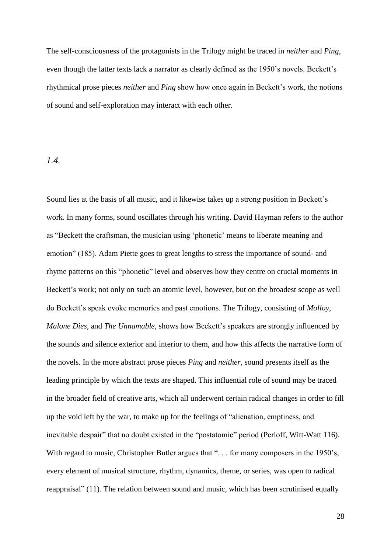The self-consciousness of the protagonists in the Trilogy might be traced in *neither* and *Ping*, even though the latter texts lack a narrator as clearly defined as the 1950's novels. Beckett's rhythmical prose pieces *neither* and *Ping* show how once again in Beckett"s work, the notions of sound and self-exploration may interact with each other.

#### *1.4.*

Sound lies at the basis of all music, and it likewise takes up a strong position in Beckett's work. In many forms, sound oscillates through his writing. David Hayman refers to the author as "Beckett the craftsman, the musician using "phonetic" means to liberate meaning and emotion" (185). Adam Piette goes to great lengths to stress the importance of sound- and rhyme patterns on this "phonetic" level and observes how they centre on crucial moments in Beckett's work; not only on such an atomic level, however, but on the broadest scope as well do Beckett"s speak evoke memories and past emotions. The Trilogy, consisting of *Molloy*, *Malone Dies*, and *The Unnamable*, shows how Beckett"s speakers are strongly influenced by the sounds and silence exterior and interior to them, and how this affects the narrative form of the novels. In the more abstract prose pieces *Ping* and *neither*, sound presents itself as the leading principle by which the texts are shaped. This influential role of sound may be traced in the broader field of creative arts, which all underwent certain radical changes in order to fill up the void left by the war, to make up for the feelings of "alienation, emptiness, and inevitable despair" that no doubt existed in the "postatomic" period (Perloff, Witt-Watt 116). With regard to music, Christopher Butler argues that "... for many composers in the 1950's, every element of musical structure, rhythm, dynamics, theme, or series, was open to radical reappraisal" (11). The relation between sound and music, which has been scrutinised equally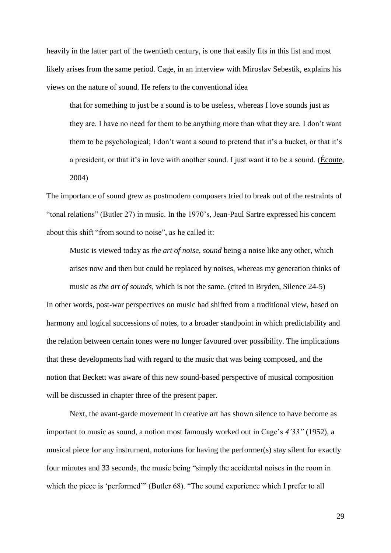heavily in the latter part of the twentieth century, is one that easily fits in this list and most likely arises from the same period. Cage, in an interview with Miroslav Sebestik, explains his views on the nature of sound. He refers to the conventional idea

that for something to just be a sound is to be useless, whereas I love sounds just as they are. I have no need for them to be anything more than what they are. I don"t want them to be psychological; I don't want a sound to pretend that it's a bucket, or that it's a president, or that it's in love with another sound. I just want it to be a sound. (Écoute, 2004)

The importance of sound grew as postmodern composers tried to break out of the restraints of "tonal relations" (Butler 27) in music. In the 1970"s, Jean-Paul Sartre expressed his concern about this shift "from sound to noise", as he called it:

Music is viewed today as *the art of noise*, *sound* being a noise like any other, which arises now and then but could be replaced by noises, whereas my generation thinks of music as *the art of sounds*, which is not the same. (cited in Bryden, Silence 24-5) In other words, post-war perspectives on music had shifted from a traditional view, based on harmony and logical successions of notes, to a broader standpoint in which predictability and

the relation between certain tones were no longer favoured over possibility. The implications that these developments had with regard to the music that was being composed, and the notion that Beckett was aware of this new sound-based perspective of musical composition will be discussed in chapter three of the present paper.

Next, the avant-garde movement in creative art has shown silence to have become as important to music as sound, a notion most famously worked out in Cage"s *4'33"* (1952), a musical piece for any instrument, notorious for having the performer(s) stay silent for exactly four minutes and 33 seconds, the music being "simply the accidental noises in the room in which the piece is 'performed'" (Butler 68). "The sound experience which I prefer to all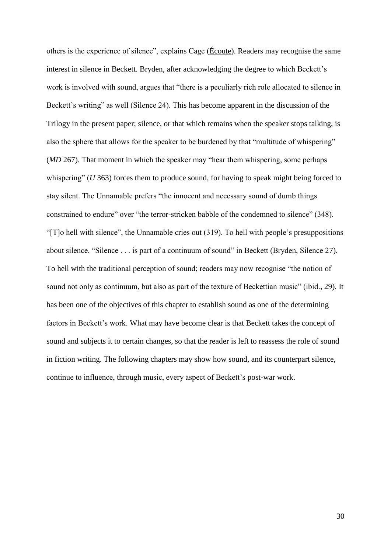others is the experience of silence", explains Cage (Écoute). Readers may recognise the same interest in silence in Beckett. Bryden, after acknowledging the degree to which Beckett's work is involved with sound, argues that "there is a peculiarly rich role allocated to silence in Beckett's writing" as well (Silence 24). This has become apparent in the discussion of the Trilogy in the present paper; silence, or that which remains when the speaker stops talking, is also the sphere that allows for the speaker to be burdened by that "multitude of whispering" (*MD* 267). That moment in which the speaker may "hear them whispering, some perhaps whispering" (*U* 363) forces them to produce sound, for having to speak might being forced to stay silent. The Unnamable prefers "the innocent and necessary sound of dumb things constrained to endure" over "the terror-stricken babble of the condemned to silence" (348). "[T]o hell with silence", the Unnamable cries out (319). To hell with people"s presuppositions about silence. "Silence . . . is part of a continuum of sound" in Beckett (Bryden, Silence 27). To hell with the traditional perception of sound; readers may now recognise "the notion of sound not only as continuum, but also as part of the texture of Beckettian music" (ibid., 29). It has been one of the objectives of this chapter to establish sound as one of the determining factors in Beckett's work. What may have become clear is that Beckett takes the concept of sound and subjects it to certain changes, so that the reader is left to reassess the role of sound in fiction writing. The following chapters may show how sound, and its counterpart silence, continue to influence, through music, every aspect of Beckett's post-war work.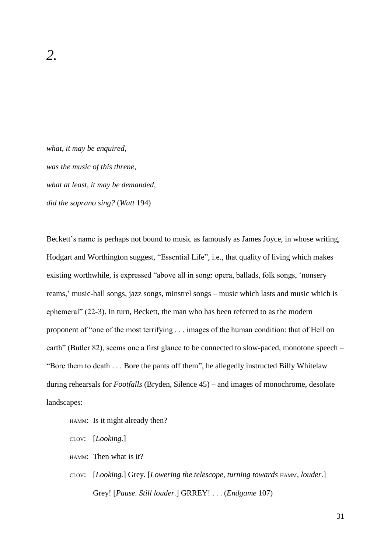*what, it may be enquired, was the music of this threne, what at least, it may be demanded, did the soprano sing?* (*Watt* 194)

Beckett's name is perhaps not bound to music as famously as James Joyce, in whose writing, Hodgart and Worthington suggest, "Essential Life", i.e., that quality of living which makes existing worthwhile, is expressed "above all in song: opera, ballads, folk songs, "nonsery reams," music-hall songs, jazz songs, minstrel songs – music which lasts and music which is ephemeral" (22-3). In turn, Beckett, the man who has been referred to as the modern proponent of "one of the most terrifying . . . images of the human condition: that of Hell on earth" (Butler 82), seems one a first glance to be connected to slow-paced, monotone speech – "Bore them to death . . . Bore the pants off them", he allegedly instructed Billy Whitelaw during rehearsals for *Footfalls* (Bryden, Silence 45) – and images of monochrome, desolate landscapes:

HAMM: Is it night already then?

CLOV: [*Looking.*]

HAMM: Then what is it?

CLOV: [*Looking.*] Grey. [*Lowering the telescope, turning towards* HAMM*, louder.*] Grey! [*Pause. Still louder.*] GRREY! . . . (*Endgame* 107)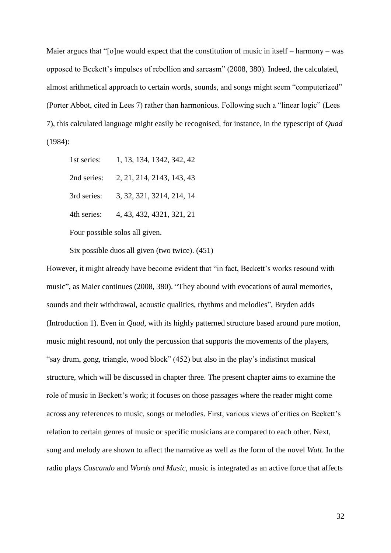Maier argues that "[o]ne would expect that the constitution of music in itself – harmony – was opposed to Beckett"s impulses of rebellion and sarcasm" (2008, 380). Indeed, the calculated, almost arithmetical approach to certain words, sounds, and songs might seem "computerized" (Porter Abbot, cited in Lees 7) rather than harmonious. Following such a "linear logic" (Lees 7), this calculated language might easily be recognised, for instance, in the typescript of *Quad* (1984):

1st series: 1, 13, 134, 1342, 342, 42 2nd series: 2, 21, 214, 2143, 143, 43 3rd series: 3, 32, 321, 3214, 214, 14 4th series: 4, 43, 432, 4321, 321, 21

Four possible solos all given.

Six possible duos all given (two twice). (451)

However, it might already have become evident that "in fact, Beckett's works resound with music", as Maier continues (2008, 380). "They abound with evocations of aural memories, sounds and their withdrawal, acoustic qualities, rhythms and melodies", Bryden adds (Introduction 1). Even in *Quad*, with its highly patterned structure based around pure motion, music might resound, not only the percussion that supports the movements of the players, "say drum, gong, triangle, wood block" (452) but also in the play"s indistinct musical structure, which will be discussed in chapter three. The present chapter aims to examine the role of music in Beckett's work; it focuses on those passages where the reader might come across any references to music, songs or melodies. First, various views of critics on Beckett"s relation to certain genres of music or specific musicians are compared to each other. Next, song and melody are shown to affect the narrative as well as the form of the novel *Watt*. In the radio plays *Cascando* and *Words and Music*, music is integrated as an active force that affects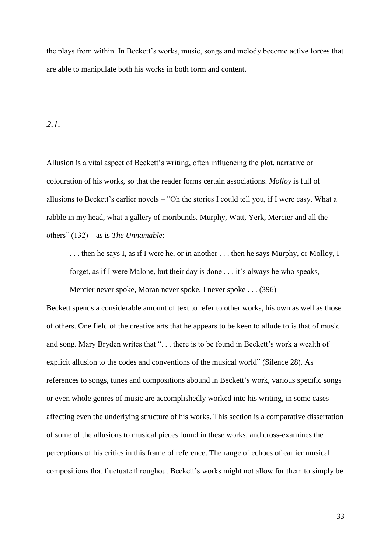the plays from within. In Beckett"s works, music, songs and melody become active forces that are able to manipulate both his works in both form and content.

### *2.1.*

Allusion is a vital aspect of Beckett's writing, often influencing the plot, narrative or colouration of his works, so that the reader forms certain associations. *Molloy* is full of allusions to Beckett's earlier novels – "Oh the stories I could tell you, if I were easy. What a rabble in my head, what a gallery of moribunds. Murphy, Watt, Yerk, Mercier and all the others" (132) – as is *The Unnamable*:

. . . then he says I, as if I were he, or in another . . . then he says Murphy, or Molloy, I forget, as if I were Malone, but their day is done . . . it"s always he who speaks,

Mercier never spoke, Moran never spoke, I never spoke . . . (396)

Beckett spends a considerable amount of text to refer to other works, his own as well as those of others. One field of the creative arts that he appears to be keen to allude to is that of music and song. Mary Bryden writes that "... there is to be found in Beckett's work a wealth of explicit allusion to the codes and conventions of the musical world" (Silence 28). As references to songs, tunes and compositions abound in Beckett's work, various specific songs or even whole genres of music are accomplishedly worked into his writing, in some cases affecting even the underlying structure of his works. This section is a comparative dissertation of some of the allusions to musical pieces found in these works, and cross-examines the perceptions of his critics in this frame of reference. The range of echoes of earlier musical compositions that fluctuate throughout Beckett"s works might not allow for them to simply be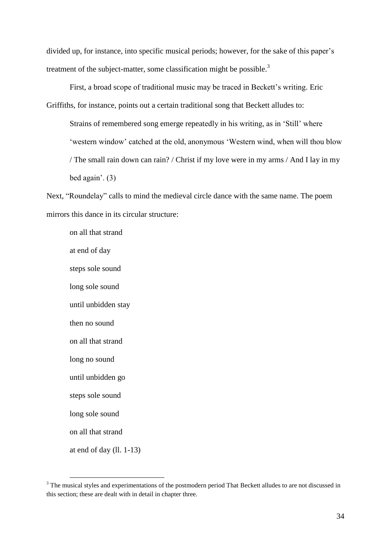divided up, for instance, into specific musical periods; however, for the sake of this paper's treatment of the subject-matter, some classification might be possible.<sup>3</sup>

First, a broad scope of traditional music may be traced in Beckett's writing. Eric Griffiths, for instance, points out a certain traditional song that Beckett alludes to:

Strains of remembered song emerge repeatedly in his writing, as in "Still" where 'western window' catched at the old, anonymous 'Western wind, when will thou blow / The small rain down can rain? / Christ if my love were in my arms / And I lay in my bed again'.  $(3)$ 

Next, "Roundelay" calls to mind the medieval circle dance with the same name. The poem mirrors this dance in its circular structure:

on all that strand at end of day steps sole sound long sole sound until unbidden stay then no sound on all that strand long no sound until unbidden go steps sole sound long sole sound on all that strand at end of day (ll. 1-13)

 $\overline{a}$ 

<sup>&</sup>lt;sup>3</sup> The musical styles and experimentations of the postmodern period That Beckett alludes to are not discussed in this section; these are dealt with in detail in chapter three.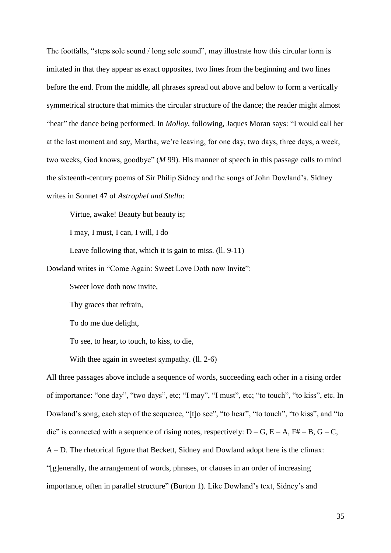The footfalls, "steps sole sound / long sole sound", may illustrate how this circular form is imitated in that they appear as exact opposites, two lines from the beginning and two lines before the end. From the middle, all phrases spread out above and below to form a vertically symmetrical structure that mimics the circular structure of the dance; the reader might almost "hear" the dance being performed. In *Molloy*, following, Jaques Moran says: "I would call her at the last moment and say, Martha, we"re leaving, for one day, two days, three days, a week, two weeks, God knows, goodbye" (*M* 99). His manner of speech in this passage calls to mind the sixteenth-century poems of Sir Philip Sidney and the songs of John Dowland"s. Sidney writes in Sonnet 47 of *Astrophel and Stella*:

Virtue, awake! Beauty but beauty is;

I may, I must, I can, I will, I do

Leave following that, which it is gain to miss. (ll. 9-11)

Dowland writes in "Come Again: Sweet Love Doth now Invite":

Sweet love doth now invite,

Thy graces that refrain,

To do me due delight,

To see, to hear, to touch, to kiss, to die,

With thee again in sweetest sympathy. (11, 2-6)

All three passages above include a sequence of words, succeeding each other in a rising order of importance: "one day", "two days", etc; "I may", "I must", etc; "to touch", "to kiss", etc. In Dowland"s song, each step of the sequence, "[t]o see", "to hear", "to touch", "to kiss", and "to die" is connected with a sequence of rising notes, respectively:  $D - G$ ,  $E - A$ ,  $F# - B$ ,  $G - C$ , A – D. The rhetorical figure that Beckett, Sidney and Dowland adopt here is the climax: "[g]enerally, the arrangement of words, phrases, or clauses in an order of increasing importance, often in parallel structure" (Burton 1). Like Dowland"s text, Sidney"s and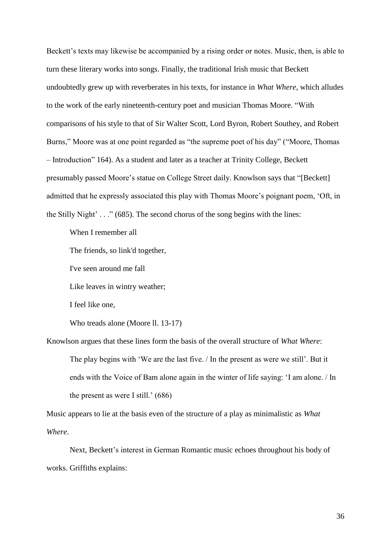Beckett's texts may likewise be accompanied by a rising order or notes. Music, then, is able to turn these literary works into songs. Finally, the traditional Irish music that Beckett undoubtedly grew up with reverberates in his texts, for instance in *What Where*, which alludes to the work of the early nineteenth-century poet and musician Thomas Moore. "With comparisons of his style to that of Sir Walter Scott, Lord Byron, Robert Southey, and Robert Burns," Moore was at one point regarded as "the supreme poet of his day" ("Moore, Thomas") – Introduction" 164). As a student and later as a teacher at Trinity College, Beckett presumably passed Moore"s statue on College Street daily. Knowlson says that "[Beckett] admitted that he expressly associated this play with Thomas Moore"s poignant poem, "Oft, in the Stilly Night'  $\ldots$ " (685). The second chorus of the song begins with the lines:

When I remember all

The friends, so link'd together,

I've seen around me fall

Like leaves in wintry weather;

I feel like one,

Who treads alone (Moore ll. 13-17)

Knowlson argues that these lines form the basis of the overall structure of *What Where*: The play begins with 'We are the last five. / In the present as were we still'. But it ends with the Voice of Bam alone again in the winter of life saying: "I am alone. / In the present as were I still.'  $(686)$ 

Music appears to lie at the basis even of the structure of a play as minimalistic as *What Where*.

Next, Beckett's interest in German Romantic music echoes throughout his body of works. Griffiths explains: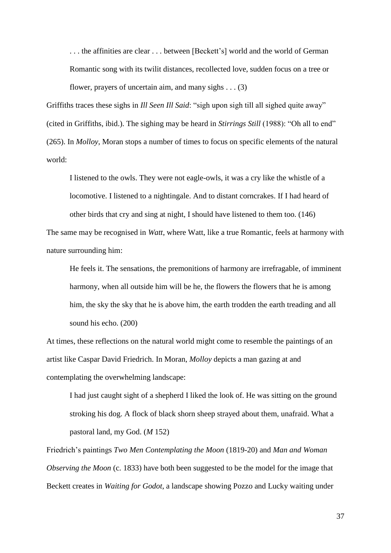... the affinities are clear ... between [Beckett's] world and the world of German Romantic song with its twilit distances, recollected love, sudden focus on a tree or flower, prayers of uncertain aim, and many sighs  $\dots$  (3)

Griffiths traces these sighs in *Ill Seen Ill Said*: "sigh upon sigh till all sighed quite away" (cited in Griffiths, ibid.). The sighing may be heard in *Stirrings Still* (1988): "Oh all to end" (265). In *Molloy*, Moran stops a number of times to focus on specific elements of the natural world:

I listened to the owls. They were not eagle-owls, it was a cry like the whistle of a locomotive. I listened to a nightingale. And to distant corncrakes. If I had heard of other birds that cry and sing at night, I should have listened to them too. (146)

The same may be recognised in *Watt*, where Watt, like a true Romantic, feels at harmony with nature surrounding him:

He feels it. The sensations, the premonitions of harmony are irrefragable, of imminent harmony, when all outside him will be he, the flowers the flowers that he is among him, the sky the sky that he is above him, the earth trodden the earth treading and all sound his echo. (200)

At times, these reflections on the natural world might come to resemble the paintings of an artist like Caspar David Friedrich. In Moran, *Molloy* depicts a man gazing at and contemplating the overwhelming landscape:

I had just caught sight of a shepherd I liked the look of. He was sitting on the ground stroking his dog. A flock of black shorn sheep strayed about them, unafraid. What a pastoral land, my God. (*M* 152)

Friedrich"s paintings *Two Men Contemplating the Moon* (1819-20) and *Man and Woman Observing the Moon* (c. 1833) have both been suggested to be the model for the image that Beckett creates in *Waiting for Godot*, a landscape showing Pozzo and Lucky waiting under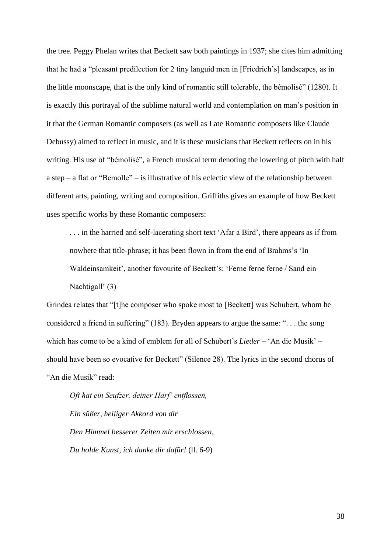the tree. Peggy Phelan writes that Beckett saw both paintings in 1937; she cites him admitting that he had a "pleasant predilection for 2 tiny languid men in [Friedrich"s] landscapes, as in the little moonscape, that is the only kind of romantic still tolerable, the bémolisé" (1280). It is exactly this portrayal of the sublime natural world and contemplation on man"s position in it that the German Romantic composers (as well as Late Romantic composers like Claude Debussy) aimed to reflect in music, and it is these musicians that Beckett reflects on in his writing. His use of "bémolisé", a French musical term denoting the lowering of pitch with half a step – a flat or "Bemolle" – is illustrative of his eclectic view of the relationship between different arts, painting, writing and composition. Griffiths gives an example of how Beckett uses specific works by these Romantic composers:

. . . in the harried and self-lacerating short text "Afar a Bird", there appears as if from nowhere that title-phrase; it has been flown in from the end of Brahms"s "In Waldeinsamkeit', another favourite of Beckett's: 'Ferne ferne ferne / Sand ein Nachtigall' (3)

Grindea relates that "[t]he composer who spoke most to [Beckett] was Schubert, whom he considered a friend in suffering" (183). Bryden appears to argue the same: ". . . the song which has come to be a kind of emblem for all of Schubert's *Lieder* – 'An die Musik' – should have been so evocative for Beckett" (Silence 28). The lyrics in the second chorus of "An die Musik" read:

*Oft hat ein Seufzer, deiner Harf' entflossen, Ein süßer, heiliger Akkord von dir Den Himmel besserer Zeiten mir erschlossen, Du holde Kunst, ich danke dir dafür!* (ll. 6-9)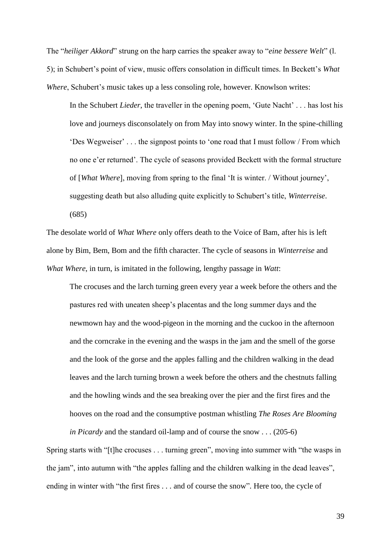The "*heiliger Akkord*" strung on the harp carries the speaker away to "*eine bessere Welt*" (l. 5); in Schubert"s point of view, music offers consolation in difficult times. In Beckett"s *What Where*, Schubert's music takes up a less consoling role, however. Knowlson writes:

In the Schubert *Lieder*, the traveller in the opening poem, 'Gute Nacht' . . . has lost his love and journeys disconsolately on from May into snowy winter. In the spine-chilling "Des Wegweiser" . . . the signpost points to "one road that I must follow / From which no one e"er returned". The cycle of seasons provided Beckett with the formal structure of [*What Where*], moving from spring to the final "It is winter. / Without journey", suggesting death but also alluding quite explicitly to Schubert"s title, *Winterreise*. (685)

The desolate world of *What Where* only offers death to the Voice of Bam, after his is left alone by Bim, Bem, Bom and the fifth character. The cycle of seasons in *Winterreise* and *What Where*, in turn, is imitated in the following, lengthy passage in *Watt*:

The crocuses and the larch turning green every year a week before the others and the pastures red with uneaten sheep"s placentas and the long summer days and the newmown hay and the wood-pigeon in the morning and the cuckoo in the afternoon and the corncrake in the evening and the wasps in the jam and the smell of the gorse and the look of the gorse and the apples falling and the children walking in the dead leaves and the larch turning brown a week before the others and the chestnuts falling and the howling winds and the sea breaking over the pier and the first fires and the hooves on the road and the consumptive postman whistling *The Roses Are Blooming* 

Spring starts with "[t]he crocuses . . . turning green", moving into summer with "the wasps in the jam", into autumn with "the apples falling and the children walking in the dead leaves", ending in winter with "the first fires . . . and of course the snow". Here too, the cycle of

*in Picardy* and the standard oil-lamp and of course the snow . . . (205-6)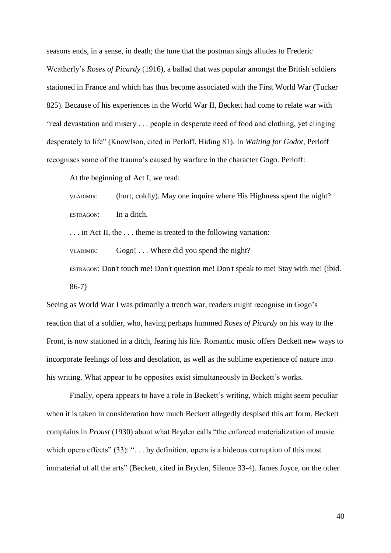seasons ends, in a sense, in death; the tune that the postman sings alludes to Frederic Weatherly"s *Roses of Picardy* (1916), a ballad that was popular amongst the British soldiers stationed in France and which has thus become associated with the First World War (Tucker 825). Because of his experiences in the World War II, Beckett had come to relate war with "real devastation and misery . . . people in desperate need of food and clothing, yet clinging desperately to life" (Knowlson, cited in Perloff, Hiding 81). In *Waiting for Godot*, Perloff recognises some of the trauma"s caused by warfare in the character Gogo. Perloff:

At the beginning of Act I, we read:

VLADIMIR: (hurt, coldly). May one inquire where His Highness spent the night? ESTRAGON: In a ditch.

. . . in Act II, the . . . theme is treated to the following variation:

VLADIMIR: Gogo! . . . Where did you spend the night?

ESTRAGON: Don't touch me! Don't question me! Don't speak to me! Stay with me! (ibid. 86-7)

Seeing as World War I was primarily a trench war, readers might recognise in Gogo"s reaction that of a soldier, who, having perhaps hummed *Roses of Picardy* on his way to the Front, is now stationed in a ditch, fearing his life. Romantic music offers Beckett new ways to incorporate feelings of loss and desolation, as well as the sublime experience of nature into his writing. What appear to be opposites exist simultaneously in Beckett's works.

Finally, opera appears to have a role in Beckett's writing, which might seem peculiar when it is taken in consideration how much Beckett allegedly despised this art form. Beckett complains in *Proust* (1930) about what Bryden calls "the enforced materialization of music which opera effects" (33): "... by definition, opera is a hideous corruption of this most immaterial of all the arts" (Beckett, cited in Bryden, Silence 33-4). James Joyce, on the other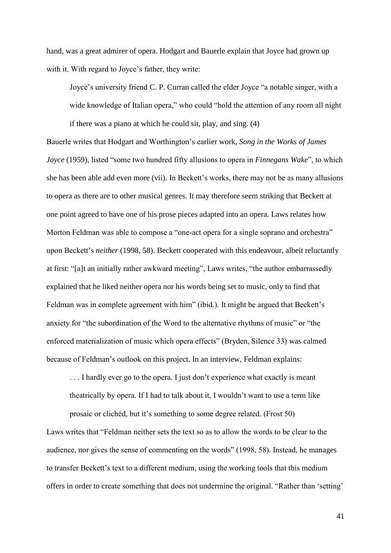hand, was a great admirer of opera. Hodgart and Bauerle explain that Joyce had grown up with it. With regard to Joyce's father, they write:

Joyce's university friend C. P. Curran called the elder Joyce "a notable singer, with a wide knowledge of Italian opera," who could "hold the attention of any room all night if there was a piano at which he could sit, play, and sing. (4)

Bauerle writes that Hodgart and Worthington"s earlier work, *Song in the Works of James Joyce* (1959), listed "some two hundred fifty allusions to opera in *Finnegans Wake*", to which she has been able add even more (vii). In Beckett"s works, there may not be as many allusions to opera as there are to other musical genres. It may therefore seem striking that Beckett at one point agreed to have one of his prose pieces adapted into an opera. Laws relates how Morton Feldman was able to compose a "one-act opera for a single soprano and orchestra" upon Beckett's *neither* (1998, 58). Beckett cooperated with this endeavour, albeit reluctantly at first: "[a]t an initially rather awkward meeting", Laws writes, "the author embarrassedly explained that he liked neither opera nor his words being set to music, only to find that Feldman was in complete agreement with him" (ibid.). It might be argued that Beckett's anxiety for "the subordination of the Word to the alternative rhythms of music" or "the enforced materialization of music which opera effects" (Bryden, Silence 33) was calmed because of Feldman"s outlook on this project. In an interview, Feldman explains:

... I hardly ever go to the opera. I just don't experience what exactly is meant theatrically by opera. If I had to talk about it, I wouldn"t want to use a term like

prosaic or clichéd, but it"s something to some degree related. (Frost 50)

Laws writes that "Feldman neither sets the text so as to allow the words to be clear to the audience, nor gives the sense of commenting on the words" (1998, 58). Instead, he manages to transfer Beckett's text to a different medium, using the working tools that this medium offers in order to create something that does not undermine the original. "Rather than "setting"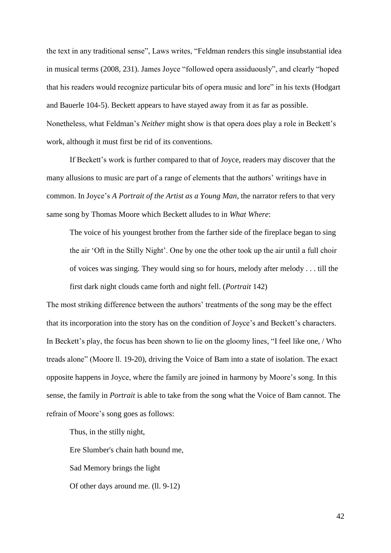the text in any traditional sense", Laws writes, "Feldman renders this single insubstantial idea in musical terms (2008, 231). James Joyce "followed opera assiduously", and clearly "hoped that his readers would recognize particular bits of opera music and lore" in his texts (Hodgart and Bauerle 104-5). Beckett appears to have stayed away from it as far as possible. Nonetheless, what Feldman"s *Neither* might show is that opera does play a role in Beckett"s work, although it must first be rid of its conventions.

If Beckett"s work is further compared to that of Joyce, readers may discover that the many allusions to music are part of a range of elements that the authors' writings have in common. In Joyce"s *A Portrait of the Artist as a Young Man*, the narrator refers to that very same song by Thomas Moore which Beckett alludes to in *What Where*:

The voice of his youngest brother from the farther side of the fireplace began to sing the air "Oft in the Stilly Night". One by one the other took up the air until a full choir of voices was singing. They would sing so for hours, melody after melody . . . till the first dark night clouds came forth and night fell. (*Portrait* 142)

The most striking difference between the authors' treatments of the song may be the effect that its incorporation into the story has on the condition of Joyce's and Beckett's characters. In Beckett's play, the focus has been shown to lie on the gloomy lines, "I feel like one, / Who treads alone" (Moore ll. 19-20), driving the Voice of Bam into a state of isolation. The exact opposite happens in Joyce, where the family are joined in harmony by Moore"s song. In this sense, the family in *Portrait* is able to take from the song what the Voice of Bam cannot. The refrain of Moore"s song goes as follows:

Thus, in the stilly night,

Ere Slumber's chain hath bound me,

Sad Memory brings the light

Of other days around me. (ll. 9-12)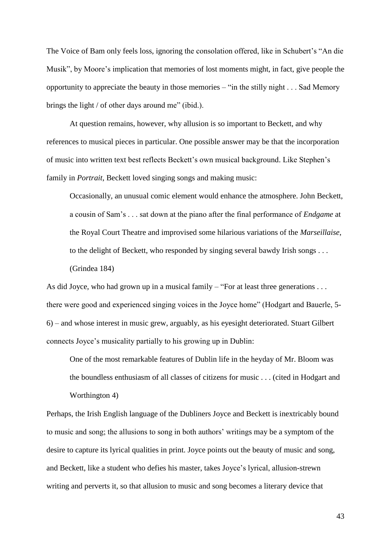The Voice of Bam only feels loss, ignoring the consolation offered, like in Schubert's "An die Musik", by Moore's implication that memories of lost moments might, in fact, give people the opportunity to appreciate the beauty in those memories – "in the stilly night . . . Sad Memory brings the light / of other days around me" (ibid.).

At question remains, however, why allusion is so important to Beckett, and why references to musical pieces in particular. One possible answer may be that the incorporation of music into written text best reflects Beckett"s own musical background. Like Stephen"s family in *Portrait*, Beckett loved singing songs and making music:

Occasionally, an unusual comic element would enhance the atmosphere. John Beckett, a cousin of Sam"s . . . sat down at the piano after the final performance of *Endgame* at the Royal Court Theatre and improvised some hilarious variations of the *Marseillaise*, to the delight of Beckett, who responded by singing several bawdy Irish songs . . . (Grindea 184)

As did Joyce, who had grown up in a musical family – "For at least three generations . . . there were good and experienced singing voices in the Joyce home" (Hodgart and Bauerle, 5- 6) – and whose interest in music grew, arguably, as his eyesight deteriorated. Stuart Gilbert connects Joyce"s musicality partially to his growing up in Dublin:

One of the most remarkable features of Dublin life in the heyday of Mr. Bloom was the boundless enthusiasm of all classes of citizens for music . . . (cited in Hodgart and Worthington 4)

Perhaps, the Irish English language of the Dubliners Joyce and Beckett is inextricably bound to music and song; the allusions to song in both authors" writings may be a symptom of the desire to capture its lyrical qualities in print. Joyce points out the beauty of music and song, and Beckett, like a student who defies his master, takes Joyce"s lyrical, allusion-strewn writing and perverts it, so that allusion to music and song becomes a literary device that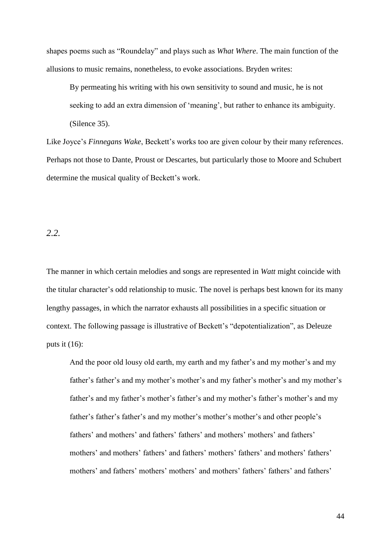shapes poems such as "Roundelay" and plays such as *What Where*. The main function of the allusions to music remains, nonetheless, to evoke associations. Bryden writes:

By permeating his writing with his own sensitivity to sound and music, he is not seeking to add an extra dimension of 'meaning', but rather to enhance its ambiguity. (Silence 35).

Like Joyce's *Finnegans Wake*, Beckett's works too are given colour by their many references. Perhaps not those to Dante, Proust or Descartes, but particularly those to Moore and Schubert determine the musical quality of Beckett's work.

*2.2.*

The manner in which certain melodies and songs are represented in *Watt* might coincide with the titular character"s odd relationship to music. The novel is perhaps best known for its many lengthy passages, in which the narrator exhausts all possibilities in a specific situation or context. The following passage is illustrative of Beckett's "depotentialization", as Deleuze puts it  $(16)$ :

And the poor old lousy old earth, my earth and my father's and my mother's and my father's father's and my mother's mother's and my father's mother's and my mother's father's and my father's mother's father's and my mother's father's mother's and my father's father's father's and my mother's mother's mother's and other people's fathers' and mothers' and fathers' fathers' and mothers' mothers' and fathers' mothers' and mothers' fathers' and fathers' mothers' fathers' and mothers' fathers' mothers' and fathers' mothers' mothers' and mothers' fathers' fathers' and fathers'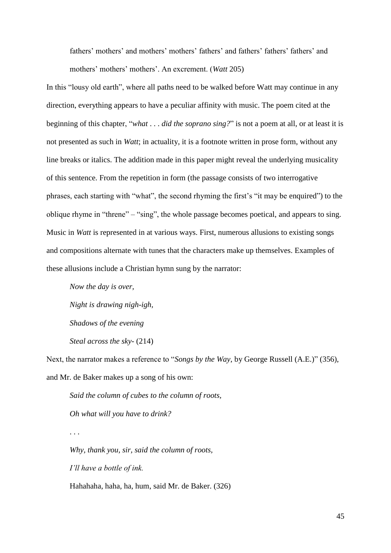fathers' mothers' and mothers' mothers' fathers' and fathers' fathers' fathers' and mothers' mothers' mothers'. An excrement. (*Watt 205*)

In this "lousy old earth", where all paths need to be walked before Watt may continue in any direction, everything appears to have a peculiar affinity with music. The poem cited at the beginning of this chapter, "*what* . . . *did the soprano sing?*" is not a poem at all, or at least it is not presented as such in *Watt*; in actuality, it is a footnote written in prose form, without any line breaks or italics. The addition made in this paper might reveal the underlying musicality of this sentence. From the repetition in form (the passage consists of two interrogative phrases, each starting with "what", the second rhyming the first's "it may be enquired") to the oblique rhyme in "threne" – "sing", the whole passage becomes poetical, and appears to sing. Music in *Watt* is represented in at various ways. First, numerous allusions to existing songs and compositions alternate with tunes that the characters make up themselves. Examples of these allusions include a Christian hymn sung by the narrator:

*Now the day is over, Night is drawing nigh-igh, Shadows of the evening Steal across the sky-* (214)

. . .

Next, the narrator makes a reference to "*Songs by the Way*, by George Russell (A.E.)" (356), and Mr. de Baker makes up a song of his own:

*Said the column of cubes to the column of roots, Oh what will you have to drink?*

*Why, thank you, sir, said the column of roots, I'll have a bottle of ink.* Hahahaha, haha, ha, hum, said Mr. de Baker. (326)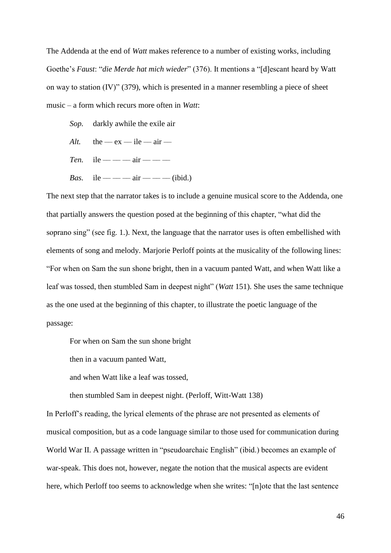The Addenda at the end of *Watt* makes reference to a number of existing works, including Goethe"s *Faust*: "*die Merde hat mich wieder*" (376). It mentions a "[d]escant heard by Watt on way to station (IV)" (379), which is presented in a manner resembling a piece of sheet music – a form which recurs more often in *Watt*:

- *Sop.* darkly awhile the exile air
- $Alt.$  the  $-ex$  –– ile –– air ––
- *Ten.* ile ——— air ———
- *Bas.* ile ———— air ———— (ibid.)

The next step that the narrator takes is to include a genuine musical score to the Addenda, one that partially answers the question posed at the beginning of this chapter, "what did the soprano sing" (see fig. 1.). Next, the language that the narrator uses is often embellished with elements of song and melody. Marjorie Perloff points at the musicality of the following lines: "For when on Sam the sun shone bright, then in a vacuum panted Watt, and when Watt like a leaf was tossed, then stumbled Sam in deepest night" (*Watt* 151). She uses the same technique as the one used at the beginning of this chapter, to illustrate the poetic language of the passage:

For when on Sam the sun shone bright

then in a vacuum panted Watt,

and when Watt like a leaf was tossed,

then stumbled Sam in deepest night. (Perloff, Witt-Watt 138)

In Perloff"s reading, the lyrical elements of the phrase are not presented as elements of musical composition, but as a code language similar to those used for communication during World War II. A passage written in "pseudoarchaic English" (ibid.) becomes an example of war-speak. This does not, however, negate the notion that the musical aspects are evident here, which Perloff too seems to acknowledge when she writes: "[n]ote that the last sentence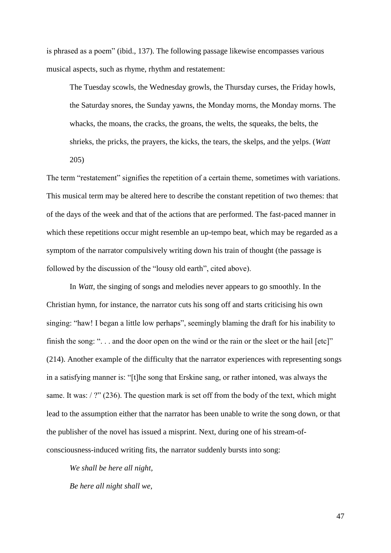is phrased as a poem" (ibid., 137). The following passage likewise encompasses various musical aspects, such as rhyme, rhythm and restatement:

The Tuesday scowls, the Wednesday growls, the Thursday curses, the Friday howls, the Saturday snores, the Sunday yawns, the Monday morns, the Monday morns. The whacks, the moans, the cracks, the groans, the welts, the squeaks, the belts, the shrieks, the pricks, the prayers, the kicks, the tears, the skelps, and the yelps. (*Watt*  205)

The term "restatement" signifies the repetition of a certain theme, sometimes with variations. This musical term may be altered here to describe the constant repetition of two themes: that of the days of the week and that of the actions that are performed. The fast-paced manner in which these repetitions occur might resemble an up-tempo beat, which may be regarded as a symptom of the narrator compulsively writing down his train of thought (the passage is followed by the discussion of the "lousy old earth", cited above).

In *Watt*, the singing of songs and melodies never appears to go smoothly. In the Christian hymn, for instance, the narrator cuts his song off and starts criticising his own singing: "haw! I began a little low perhaps", seemingly blaming the draft for his inability to finish the song: "... and the door open on the wind or the rain or the sleet or the hail [etc]" (214). Another example of the difficulty that the narrator experiences with representing songs in a satisfying manner is: "[t]he song that Erskine sang, or rather intoned, was always the same. It was: / ?" (236). The question mark is set off from the body of the text, which might lead to the assumption either that the narrator has been unable to write the song down, or that the publisher of the novel has issued a misprint. Next, during one of his stream-ofconsciousness-induced writing fits, the narrator suddenly bursts into song:

*We shall be here all night, Be here all night shall we,*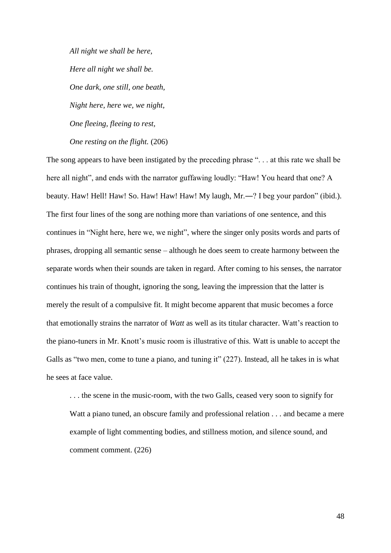*All night we shall be here, Here all night we shall be. One dark, one still, one beath, Night here, here we, we night, One fleeing, fleeing to rest, One resting on the flight.* (206)

The song appears to have been instigated by the preceding phrase ". . . at this rate we shall be here all night", and ends with the narrator guffawing loudly: "Haw! You heard that one? A beauty. Haw! Hell! Haw! So. Haw! Haw! Haw! My laugh, Mr.—? I beg your pardon" (ibid.). The first four lines of the song are nothing more than variations of one sentence, and this continues in "Night here, here we, we night", where the singer only posits words and parts of phrases, dropping all semantic sense – although he does seem to create harmony between the separate words when their sounds are taken in regard. After coming to his senses, the narrator continues his train of thought, ignoring the song, leaving the impression that the latter is merely the result of a compulsive fit. It might become apparent that music becomes a force that emotionally strains the narrator of *Watt* as well as its titular character. Watt's reaction to the piano-tuners in Mr. Knott"s music room is illustrative of this. Watt is unable to accept the Galls as "two men, come to tune a piano, and tuning it" (227). Instead, all he takes in is what he sees at face value.

. . . the scene in the music-room, with the two Galls, ceased very soon to signify for Watt a piano tuned, an obscure family and professional relation . . . and became a mere example of light commenting bodies, and stillness motion, and silence sound, and comment comment. (226)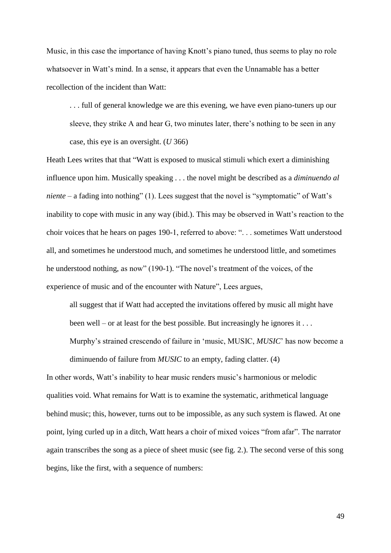Music, in this case the importance of having Knott's piano tuned, thus seems to play no role whatsoever in Watt's mind. In a sense, it appears that even the Unnamable has a better recollection of the incident than Watt:

. . . full of general knowledge we are this evening, we have even piano-tuners up our sleeve, they strike A and hear G, two minutes later, there"s nothing to be seen in any case, this eye is an oversight. (*U* 366)

Heath Lees writes that that "Watt is exposed to musical stimuli which exert a diminishing influence upon him. Musically speaking . . . the novel might be described as a *diminuendo al niente* – a fading into nothing" (1). Lees suggest that the novel is "symptomatic" of Watt's inability to cope with music in any way (ibid.). This may be observed in Watt's reaction to the choir voices that he hears on pages 190-1, referred to above: ". . . sometimes Watt understood all, and sometimes he understood much, and sometimes he understood little, and sometimes he understood nothing, as now" (190-1). "The novel's treatment of the voices, of the experience of music and of the encounter with Nature", Lees argues,

all suggest that if Watt had accepted the invitations offered by music all might have been well – or at least for the best possible. But increasingly he ignores it  $\dots$ 

Murphy"s strained crescendo of failure in "music, MUSIC, *MUSIC*" has now become a

In other words, Watt"s inability to hear music renders music"s harmonious or melodic qualities void. What remains for Watt is to examine the systematic, arithmetical language behind music; this, however, turns out to be impossible, as any such system is flawed. At one point, lying curled up in a ditch, Watt hears a choir of mixed voices "from afar". The narrator again transcribes the song as a piece of sheet music (see fig. 2.). The second verse of this song begins, like the first, with a sequence of numbers:

diminuendo of failure from *MUSIC* to an empty, fading clatter. (4)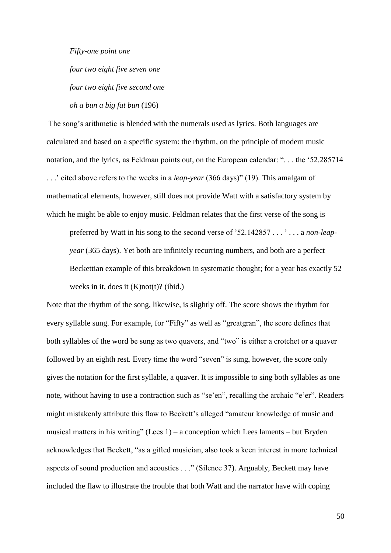*Fifty-one point one*

*four two eight five seven one four two eight five second one oh a bun a big fat bun* (196)

The song's arithmetic is blended with the numerals used as lyrics. Both languages are calculated and based on a specific system: the rhythm, on the principle of modern music notation, and the lyrics, as Feldman points out, on the European calendar: ". . . the "52.285714 . . ." cited above refers to the weeks in a *leap-year* (366 days)" (19). This amalgam of mathematical elements, however, still does not provide Watt with a satisfactory system by which he might be able to enjoy music. Feldman relates that the first verse of the song is

preferred by Watt in his song to the second verse of "52.142857 . . . " . . . a *non-leapyear* (365 days). Yet both are infinitely recurring numbers, and both are a perfect Beckettian example of this breakdown in systematic thought; for a year has exactly 52 weeks in it, does it  $(K)$ not $(t)$ ? (ibid.)

Note that the rhythm of the song, likewise, is slightly off. The score shows the rhythm for every syllable sung. For example, for "Fifty" as well as "greatgran", the score defines that both syllables of the word be sung as two quavers, and "two" is either a crotchet or a quaver followed by an eighth rest. Every time the word "seven" is sung, however, the score only gives the notation for the first syllable, a quaver. It is impossible to sing both syllables as one note, without having to use a contraction such as "se'en", recalling the archaic "e'er". Readers might mistakenly attribute this flaw to Beckett"s alleged "amateur knowledge of music and musical matters in his writing" (Lees  $1$ ) – a conception which Lees laments – but Bryden acknowledges that Beckett, "as a gifted musician, also took a keen interest in more technical aspects of sound production and acoustics . . ." (Silence 37). Arguably, Beckett may have included the flaw to illustrate the trouble that both Watt and the narrator have with coping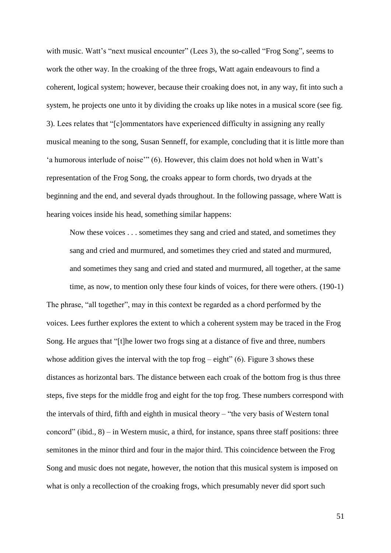with music. Watt's "next musical encounter" (Lees 3), the so-called "Frog Song", seems to work the other way. In the croaking of the three frogs, Watt again endeavours to find a coherent, logical system; however, because their croaking does not, in any way, fit into such a system, he projects one unto it by dividing the croaks up like notes in a musical score (see fig. 3). Lees relates that "[c]ommentators have experienced difficulty in assigning any really musical meaning to the song, Susan Senneff, for example, concluding that it is little more than 'a humorous interlude of noise"" (6). However, this claim does not hold when in Watt's representation of the Frog Song, the croaks appear to form chords, two dryads at the beginning and the end, and several dyads throughout. In the following passage, where Watt is hearing voices inside his head, something similar happens:

Now these voices . . . sometimes they sang and cried and stated, and sometimes they sang and cried and murmured, and sometimes they cried and stated and murmured, and sometimes they sang and cried and stated and murmured, all together, at the same time, as now, to mention only these four kinds of voices, for there were others. (190-1)

The phrase, "all together", may in this context be regarded as a chord performed by the voices. Lees further explores the extent to which a coherent system may be traced in the Frog Song. He argues that "[t]he lower two frogs sing at a distance of five and three, numbers whose addition gives the interval with the top frog  $-$  eight" (6). Figure 3 shows these distances as horizontal bars. The distance between each croak of the bottom frog is thus three steps, five steps for the middle frog and eight for the top frog. These numbers correspond with the intervals of third, fifth and eighth in musical theory – "the very basis of Western tonal concord" (ibid.,  $8$ ) – in Western music, a third, for instance, spans three staff positions: three semitones in the minor third and four in the major third. This coincidence between the Frog Song and music does not negate, however, the notion that this musical system is imposed on what is only a recollection of the croaking frogs, which presumably never did sport such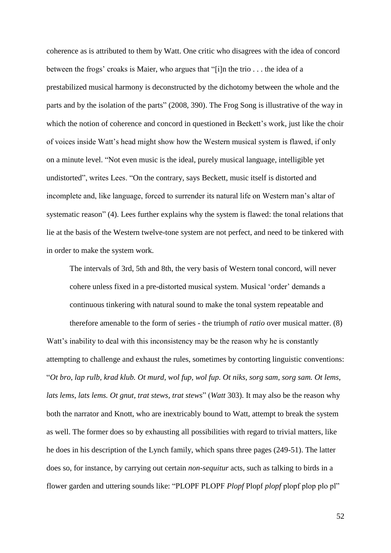coherence as is attributed to them by Watt. One critic who disagrees with the idea of concord between the frogs' croaks is Maier, who argues that "[i]n the trio . . . the idea of a prestabilized musical harmony is deconstructed by the dichotomy between the whole and the parts and by the isolation of the parts" (2008, 390). The Frog Song is illustrative of the way in which the notion of coherence and concord in questioned in Beckett's work, just like the choir of voices inside Watt"s head might show how the Western musical system is flawed, if only on a minute level. "Not even music is the ideal, purely musical language, intelligible yet undistorted", writes Lees. "On the contrary, says Beckett, music itself is distorted and incomplete and, like language, forced to surrender its natural life on Western man"s altar of systematic reason" (4). Lees further explains why the system is flawed: the tonal relations that lie at the basis of the Western twelve-tone system are not perfect, and need to be tinkered with in order to make the system work.

The intervals of 3rd, 5th and 8th, the very basis of Western tonal concord, will never cohere unless fixed in a pre-distorted musical system. Musical "order" demands a continuous tinkering with natural sound to make the tonal system repeatable and

therefore amenable to the form of series - the triumph of *ratio* over musical matter. (8) Watt's inability to deal with this inconsistency may be the reason why he is constantly attempting to challenge and exhaust the rules, sometimes by contorting linguistic conventions: "*Ot bro, lap rulb, krad klub. Ot murd, wol fup, wol fup. Ot niks, sorg sam, sorg sam. Ot lems, lats lems, lats lems. Ot gnut, trat stews, trat stews*" (*Watt* 303). It may also be the reason why both the narrator and Knott, who are inextricably bound to Watt, attempt to break the system as well. The former does so by exhausting all possibilities with regard to trivial matters, like he does in his description of the Lynch family, which spans three pages (249-51). The latter does so, for instance, by carrying out certain *non-sequitur* acts, such as talking to birds in a flower garden and uttering sounds like: "PLOPF PLOPF *Plopf* Plopf *plopf* plopf plop plo pl"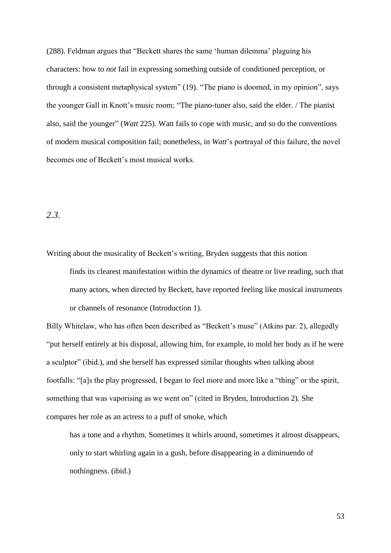(288). Feldman argues that "Beckett shares the same "human dilemma" plaguing his characters: how to *not* fail in expressing something outside of conditioned perception, or through a consistent metaphysical system" (19). "The piano is doomed, in my opinion", says the younger Gall in Knott's music room; "The piano-tuner also, said the elder. / The pianist also, said the younger" (*Watt* 225). Watt fails to cope with music, and so do the conventions of modern musical composition fail; nonetheless, in *Watt*"s portrayal of this failure, the novel becomes one of Beckett"s most musical works.

## *2.3.*

Writing about the musicality of Beckett's writing, Bryden suggests that this notion finds its clearest manifestation within the dynamics of theatre or live reading, such that many actors, when directed by Beckett, have reported feeling like musical instruments

or channels of resonance (Introduction 1).

Billy Whitelaw, who has often been described as "Beckett's muse" (Atkins par. 2), allegedly "put herself entirely at his disposal, allowing him, for example, to mold her body as if he were a sculptor" (ibid.), and she herself has expressed similar thoughts when talking about footfalls: "[a]s the play progressed, I began to feel more and more like a "thing" or the spirit, something that was vaporising as we went on" (cited in Bryden, Introduction 2). She compares her role as an actress to a puff of smoke, which

has a tone and a rhythm. Sometimes it whirls around, sometimes it almost disappears, only to start whirling again in a gush, before disappearing in a diminuendo of nothingness. (ibid.)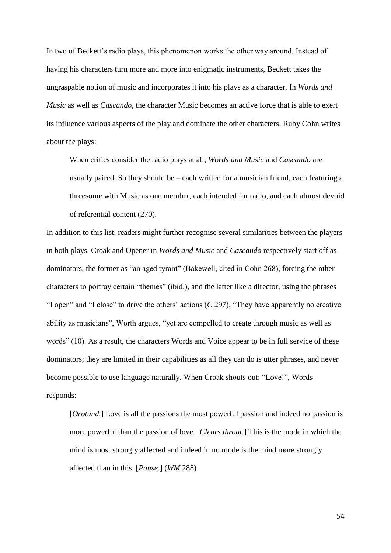In two of Beckett's radio plays, this phenomenon works the other way around. Instead of having his characters turn more and more into enigmatic instruments, Beckett takes the ungraspable notion of music and incorporates it into his plays as a character. In *Words and Music* as well as *Cascando*, the character Music becomes an active force that is able to exert its influence various aspects of the play and dominate the other characters. Ruby Cohn writes about the plays:

When critics consider the radio plays at all, *Words and Music* and *Cascando* are usually paired. So they should be – each written for a musician friend, each featuring a threesome with Music as one member, each intended for radio, and each almost devoid of referential content (270).

In addition to this list, readers might further recognise several similarities between the players in both plays. Croak and Opener in *Words and Music* and *Cascando* respectively start off as dominators, the former as "an aged tyrant" (Bakewell, cited in Cohn 268), forcing the other characters to portray certain "themes" (ibid.), and the latter like a director, using the phrases "I open" and "I close" to drive the others" actions (*C* 297). "They have apparently no creative ability as musicians", Worth argues, "yet are compelled to create through music as well as words" (10). As a result, the characters Words and Voice appear to be in full service of these dominators; they are limited in their capabilities as all they can do is utter phrases, and never become possible to use language naturally. When Croak shouts out: "Love!", Words responds:

[*Orotund.*] Love is all the passions the most powerful passion and indeed no passion is more powerful than the passion of love. [*Clears throat.*] This is the mode in which the mind is most strongly affected and indeed in no mode is the mind more strongly affected than in this. [*Pause.*] (*WM* 288)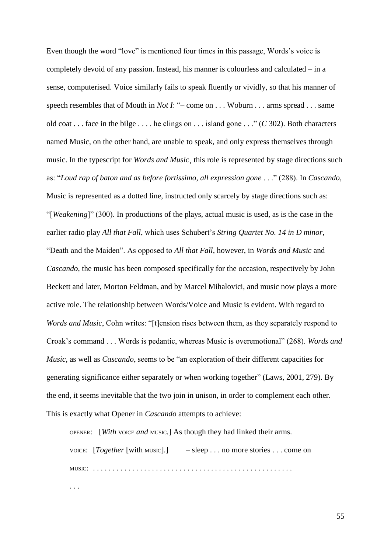Even though the word "love" is mentioned four times in this passage, Words"s voice is completely devoid of any passion. Instead, his manner is colourless and calculated – in a sense, computerised. Voice similarly fails to speak fluently or vividly, so that his manner of speech resembles that of Mouth in *Not I*: "– come on . . . Woburn . . . arms spread . . . same old coat . . . face in the bilge . . . . he clings on . . . island gone . . ." (*C* 302). Both characters named Music, on the other hand, are unable to speak, and only express themselves through music. In the typescript for *Words and Music*, this role is represented by stage directions such as: "*Loud rap of baton and as before fortissimo, all expression gone* . . ." (288). In *Cascando*, Music is represented as a dotted line, instructed only scarcely by stage directions such as: "[*Weakening*]" (300). In productions of the plays, actual music is used, as is the case in the earlier radio play *All that Fall*, which uses Schubert"s *String Quartet No. 14 in D minor*, "Death and the Maiden". As opposed to *All that Fall*, however, in *Words and Music* and *Cascando*, the music has been composed specifically for the occasion, respectively by John Beckett and later, Morton Feldman, and by Marcel Mihalovici, and music now plays a more active role. The relationship between Words/Voice and Music is evident. With regard to *Words and Music*, Cohn writes: "[t]ension rises between them, as they separately respond to Croak"s command . . . Words is pedantic, whereas Music is overemotional" (268). *Words and Music*, as well as *Cascando*, seems to be "an exploration of their different capacities for generating significance either separately or when working together" (Laws, 2001, 279). By the end, it seems inevitable that the two join in unison, in order to complement each other. This is exactly what Opener in *Cascando* attempts to achieve:

OPENER: [*With* VOICE *and* MUSIC*.*] As though they had linked their arms. VOICE: [*Together* [with MUSIC]*.*] – sleep . . . no more stories . . . come on MUSIC: . . . . . . . . . . . . . . . . . . . . . . . . . . . . . . . . . . . . . . . . . . . . . . . . . . . . . .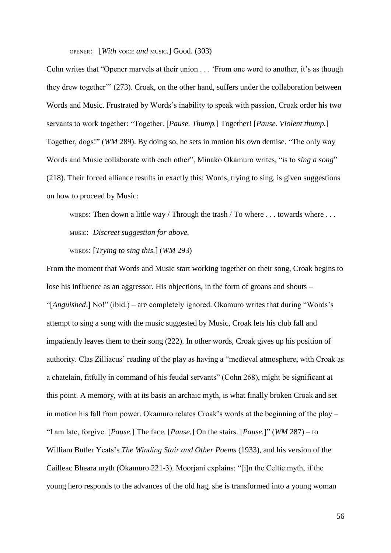OPENER: [*With* VOICE *and* MUSIC*.*] Good. (303)

Cohn writes that "Opener marvels at their union . . . 'From one word to another, it's as though they drew together"" (273). Croak, on the other hand, suffers under the collaboration between Words and Music. Frustrated by Words"s inability to speak with passion, Croak order his two servants to work together: "Together. [*Pause. Thump.*] Together! [*Pause. Violent thump.*] Together, dogs!" (*WM* 289). By doing so, he sets in motion his own demise. "The only way Words and Music collaborate with each other", Minako Okamuro writes, "is to *sing a song*" (218). Their forced alliance results in exactly this: Words, trying to sing, is given suggestions on how to proceed by Music:

WORDS: Then down a little way / Through the trash / To where . . . towards where . . . MUSIC: *Discreet suggestion for above.*

WORDS: [*Trying to sing this.*] (*WM* 293)

From the moment that Words and Music start working together on their song, Croak begins to lose his influence as an aggressor. His objections, in the form of groans and shouts – "[*Anguished*.] No!" (ibid.) – are completely ignored. Okamuro writes that during "Words"s attempt to sing a song with the music suggested by Music, Croak lets his club fall and impatiently leaves them to their song (222). In other words, Croak gives up his position of authority. Clas Zilliacus' reading of the play as having a "medieval atmosphere, with Croak as a chatelain, fitfully in command of his feudal servants" (Cohn 268), might be significant at this point. A memory, with at its basis an archaic myth, is what finally broken Croak and set in motion his fall from power. Okamuro relates Croak"s words at the beginning of the play – "I am late, forgive. [*Pause.*] The face. [*Pause.*] On the stairs. [*Pause.*]" (*WM* 287) – to William Butler Yeats"s *The Winding Stair and Other Poems* (1933), and his version of the Cailleac Bheara myth (Okamuro 221-3). Moorjani explains: "[i]n the Celtic myth, if the young hero responds to the advances of the old hag, she is transformed into a young woman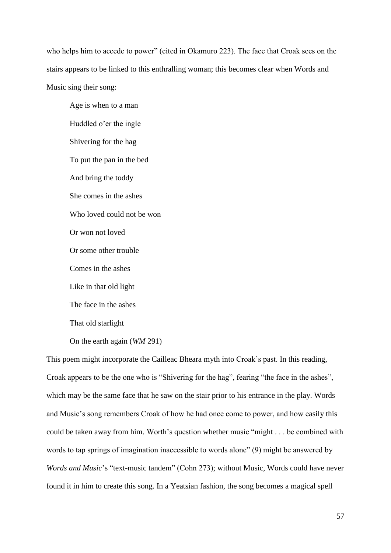who helps him to accede to power" (cited in Okamuro 223). The face that Croak sees on the stairs appears to be linked to this enthralling woman; this becomes clear when Words and Music sing their song:

Age is when to a man Huddled o"er the ingle Shivering for the hag To put the pan in the bed And bring the toddy She comes in the ashes Who loved could not be won Or won not loved Or some other trouble Comes in the ashes Like in that old light The face in the ashes That old starlight

On the earth again (*WM* 291)

This poem might incorporate the Cailleac Bheara myth into Croak's past. In this reading, Croak appears to be the one who is "Shivering for the hag", fearing "the face in the ashes", which may be the same face that he saw on the stair prior to his entrance in the play. Words and Music"s song remembers Croak of how he had once come to power, and how easily this could be taken away from him. Worth"s question whether music "might . . . be combined with words to tap springs of imagination inaccessible to words alone" (9) might be answered by *Words and Music*"s "text-music tandem" (Cohn 273); without Music, Words could have never found it in him to create this song. In a Yeatsian fashion, the song becomes a magical spell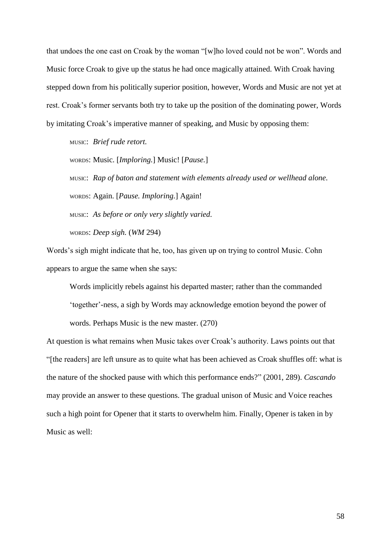that undoes the one cast on Croak by the woman "[w]ho loved could not be won". Words and Music force Croak to give up the status he had once magically attained. With Croak having stepped down from his politically superior position, however, Words and Music are not yet at rest. Croak's former servants both try to take up the position of the dominating power, Words by imitating Croak"s imperative manner of speaking, and Music by opposing them:

MUSIC: *Brief rude retort.*

WORDS: Music. [*Imploring.*] Music! [*Pause.*]

MUSIC: *Rap of baton and statement with elements already used or wellhead alone.* WORDS: Again. [*Pause. Imploring.*] Again! MUSIC: *As before or only very slightly varied.*

WORDS: *Deep sigh.* (*WM* 294)

Words"s sigh might indicate that he, too, has given up on trying to control Music. Cohn appears to argue the same when she says:

Words implicitly rebels against his departed master; rather than the commanded "together"-ness, a sigh by Words may acknowledge emotion beyond the power of words. Perhaps Music is the new master. (270)

At question is what remains when Music takes over Croak's authority. Laws points out that "[the readers] are left unsure as to quite what has been achieved as Croak shuffles off: what is the nature of the shocked pause with which this performance ends?" (2001, 289). *Cascando*  may provide an answer to these questions. The gradual unison of Music and Voice reaches such a high point for Opener that it starts to overwhelm him. Finally, Opener is taken in by Music as well: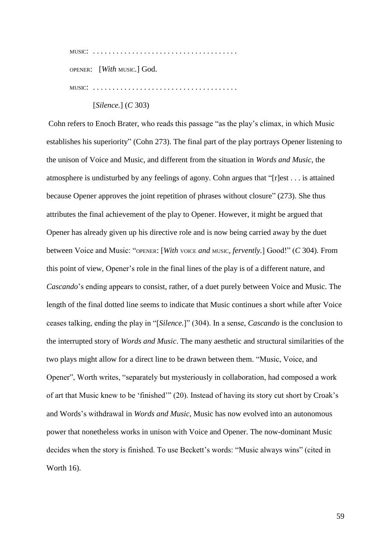MUSIC: . . . . . . . . . . . . . . . . . . . . . . . . . . . . . . . . . . . . .

OPENER: [*With* MUSIC*.*] God.

MUSIC: . . . . . . . . . . . . . . . . . . . . . . . . . . . . . . . . . . . . .

[*Silence.*] (*C* 303)

Cohn refers to Enoch Brater, who reads this passage "as the play"s climax, in which Music establishes his superiority" (Cohn 273). The final part of the play portrays Opener listening to the unison of Voice and Music, and different from the situation in *Words and Music*, the atmosphere is undisturbed by any feelings of agony. Cohn argues that "[r]est . . . is attained because Opener approves the joint repetition of phrases without closure" (273). She thus attributes the final achievement of the play to Opener. However, it might be argued that Opener has already given up his directive role and is now being carried away by the duet between Voice and Music: "OPENER: [*With* VOICE *and* MUSIC*, fervently.*] Good!" (*C* 304). From this point of view, Opener"s role in the final lines of the play is of a different nature, and *Cascando*"s ending appears to consist, rather, of a duet purely between Voice and Music. The length of the final dotted line seems to indicate that Music continues a short while after Voice ceases talking, ending the play in "[*Silence.*]" (304). In a sense, *Cascando* is the conclusion to the interrupted story of *Words and Music*. The many aesthetic and structural similarities of the two plays might allow for a direct line to be drawn between them. "Music, Voice, and Opener", Worth writes, "separately but mysteriously in collaboration, had composed a work of art that Music knew to be "finished"" (20). Instead of having its story cut short by Croak"s and Words"s withdrawal in *Words and Music*, Music has now evolved into an autonomous power that nonetheless works in unison with Voice and Opener. The now-dominant Music decides when the story is finished. To use Beckett's words: "Music always wins" (cited in Worth 16).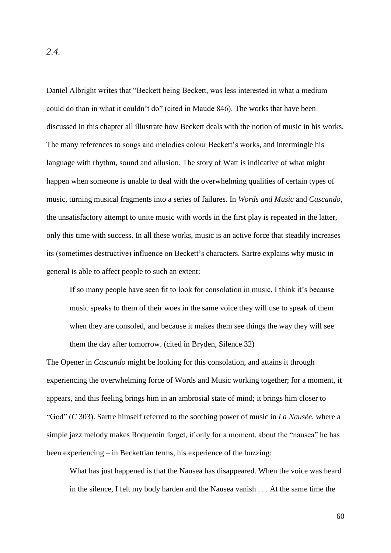Daniel Albright writes that "Beckett being Beckett, was less interested in what a medium could do than in what it couldn"t do" (cited in Maude 846). The works that have been discussed in this chapter all illustrate how Beckett deals with the notion of music in his works. The many references to songs and melodies colour Beckett's works, and intermingle his language with rhythm, sound and allusion. The story of Watt is indicative of what might happen when someone is unable to deal with the overwhelming qualities of certain types of music, turning musical fragments into a series of failures. In *Words and Music* and *Cascando*, the unsatisfactory attempt to unite music with words in the first play is repeated in the latter, only this time with success. In all these works, music is an active force that steadily increases its (sometimes destructive) influence on Beckett's characters. Sartre explains why music in general is able to affect people to such an extent:

If so many people have seen fit to look for consolation in music, I think it"s because music speaks to them of their woes in the same voice they will use to speak of them when they are consoled, and because it makes them see things the way they will see them the day after tomorrow. (cited in Bryden, Silence 32)

The Opener in *Cascando* might be looking for this consolation, and attains it through experiencing the overwhelming force of Words and Music working together; for a moment, it appears, and this feeling brings him in an ambrosial state of mind; it brings him closer to "God" (*C* 303). Sartre himself referred to the soothing power of music in *La Nausée*, where a simple jazz melody makes Roquentin forget, if only for a moment, about the "nausea" he has been experiencing – in Beckettian terms, his experience of the buzzing:

What has just happened is that the Nausea has disappeared. When the voice was heard in the silence, I felt my body harden and the Nausea vanish . . . At the same time the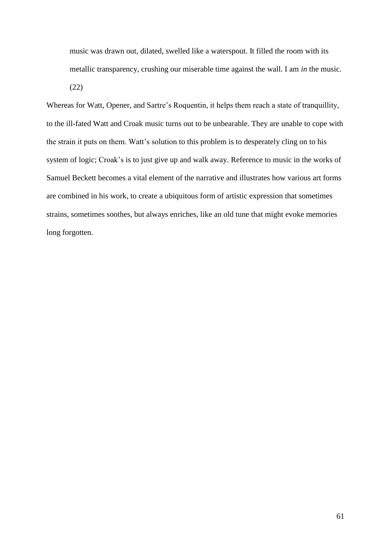music was drawn out, dilated, swelled like a waterspout. It filled the room with its metallic transparency, crushing our miserable time against the wall. I am *in* the music. (22)

Whereas for Watt, Opener, and Sartre's Roquentin, it helps them reach a state of tranquillity, to the ill-fated Watt and Croak music turns out to be unbearable. They are unable to cope with the strain it puts on them. Watt's solution to this problem is to desperately cling on to his system of logic; Croak's is to just give up and walk away. Reference to music in the works of Samuel Beckett becomes a vital element of the narrative and illustrates how various art forms are combined in his work, to create a ubiquitous form of artistic expression that sometimes strains, sometimes soothes, but always enriches, like an old tune that might evoke memories long forgotten.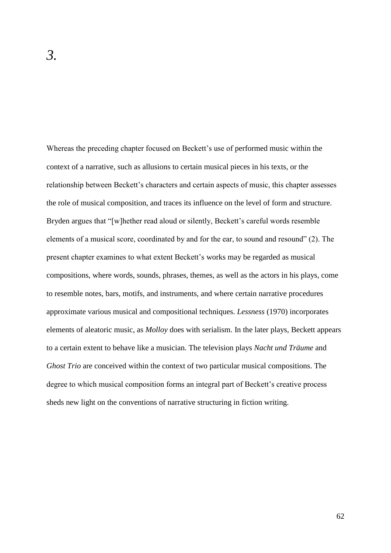Whereas the preceding chapter focused on Beckett's use of performed music within the context of a narrative, such as allusions to certain musical pieces in his texts, or the relationship between Beckett"s characters and certain aspects of music, this chapter assesses the role of musical composition, and traces its influence on the level of form and structure. Bryden argues that "[w]hether read aloud or silently, Beckett's careful words resemble elements of a musical score, coordinated by and for the ear, to sound and resound" (2). The present chapter examines to what extent Beckett"s works may be regarded as musical compositions, where words, sounds, phrases, themes, as well as the actors in his plays, come to resemble notes, bars, motifs, and instruments, and where certain narrative procedures approximate various musical and compositional techniques. *Lessness* (1970) incorporates elements of aleatoric music, as *Molloy* does with serialism. In the later plays, Beckett appears to a certain extent to behave like a musician. The television plays *Nacht und Träume* and *Ghost Trio* are conceived within the context of two particular musical compositions. The degree to which musical composition forms an integral part of Beckett's creative process sheds new light on the conventions of narrative structuring in fiction writing.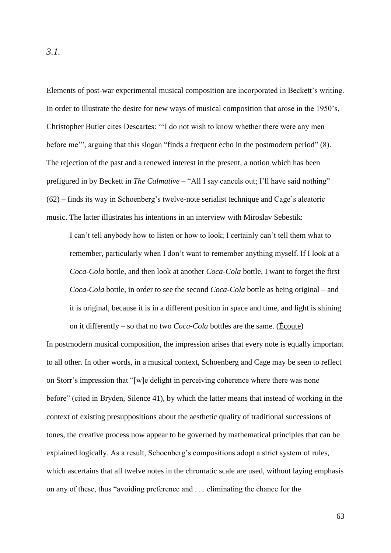Elements of post-war experimental musical composition are incorporated in Beckett's writing. In order to illustrate the desire for new ways of musical composition that arose in the 1950"s, Christopher Butler cites Descartes: ""I do not wish to know whether there were any men before me", arguing that this slogan "finds a frequent echo in the postmodern period" (8). The rejection of the past and a renewed interest in the present, a notion which has been prefigured in by Beckett in *The Calmative* – "All I say cancels out; I"ll have said nothing" (62) – finds its way in Schoenberg"s twelve-note serialist technique and Cage"s aleatoric music. The latter illustrates his intentions in an interview with Miroslav Sebestik:

I can"t tell anybody how to listen or how to look; I certainly can"t tell them what to remember, particularly when I don"t want to remember anything myself. If I look at a *Coca-Cola* bottle, and then look at another *Coca-Cola* bottle, I want to forget the first *Coca-Cola* bottle, in order to see the second *Coca-Cola* bottle as being original – and it is original, because it is in a different position in space and time, and light is shining on it differently – so that no two *Coca-Cola* bottles are the same. (Écoute)

In postmodern musical composition, the impression arises that every note is equally important to all other. In other words, in a musical context, Schoenberg and Cage may be seen to reflect on Storr"s impression that "[w]e delight in perceiving coherence where there was none before" (cited in Bryden, Silence 41), by which the latter means that instead of working in the context of existing presuppositions about the aesthetic quality of traditional successions of tones, the creative process now appear to be governed by mathematical principles that can be explained logically. As a result, Schoenberg's compositions adopt a strict system of rules, which ascertains that all twelve notes in the chromatic scale are used, without laying emphasis on any of these, thus "avoiding preference and . . . eliminating the chance for the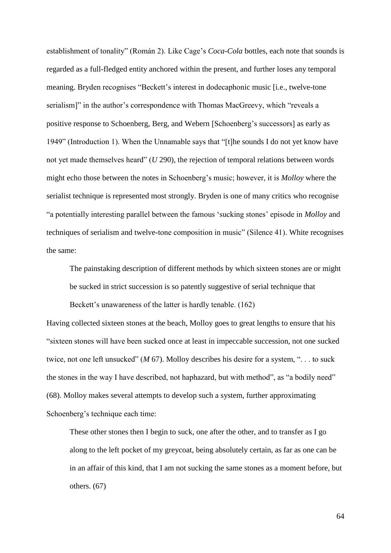establishment of tonality" (Román 2). Like Cage's *Coca-Cola* bottles, each note that sounds is regarded as a full-fledged entity anchored within the present, and further loses any temporal meaning. Bryden recognises "Beckett"s interest in dodecaphonic music [i.e., twelve-tone serialism]" in the author's correspondence with Thomas MacGreevy, which "reveals a positive response to Schoenberg, Berg, and Webern [Schoenberg"s successors] as early as 1949" (Introduction 1). When the Unnamable says that "[t]he sounds I do not yet know have not yet made themselves heard" (*U* 290), the rejection of temporal relations between words might echo those between the notes in Schoenberg"s music; however, it is *Molloy* where the serialist technique is represented most strongly. Bryden is one of many critics who recognise "a potentially interesting parallel between the famous "sucking stones" episode in *Molloy* and techniques of serialism and twelve-tone composition in music" (Silence 41). White recognises the same:

The painstaking description of different methods by which sixteen stones are or might be sucked in strict succession is so patently suggestive of serial technique that

Beckett's unawareness of the latter is hardly tenable. (162)

Having collected sixteen stones at the beach, Molloy goes to great lengths to ensure that his "sixteen stones will have been sucked once at least in impeccable succession, not one sucked twice, not one left unsucked" (*M* 67). Molloy describes his desire for a system, ". . . to suck the stones in the way I have described, not haphazard, but with method", as "a bodily need" (68). Molloy makes several attempts to develop such a system, further approximating Schoenberg"s technique each time:

These other stones then I begin to suck, one after the other, and to transfer as I go along to the left pocket of my greycoat, being absolutely certain, as far as one can be in an affair of this kind, that I am not sucking the same stones as a moment before, but others. (67)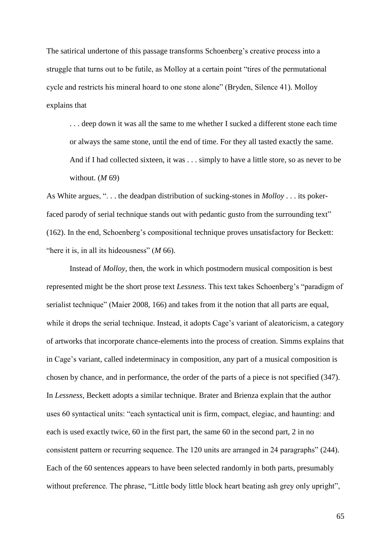The satirical undertone of this passage transforms Schoenberg's creative process into a struggle that turns out to be futile, as Molloy at a certain point "tires of the permutational cycle and restricts his mineral hoard to one stone alone" (Bryden, Silence 41). Molloy explains that

. . . deep down it was all the same to me whether I sucked a different stone each time or always the same stone, until the end of time. For they all tasted exactly the same. And if I had collected sixteen, it was . . . simply to have a little store, so as never to be without. (*M* 69)

As White argues, ". . . the deadpan distribution of sucking-stones in *Molloy* . . . its pokerfaced parody of serial technique stands out with pedantic gusto from the surrounding text" (162). In the end, Schoenberg"s compositional technique proves unsatisfactory for Beckett: "here it is, in all its hideousness" (*M* 66).

Instead of *Molloy*, then, the work in which postmodern musical composition is best represented might be the short prose text *Lessness*. This text takes Schoenberg"s "paradigm of serialist technique" (Maier 2008, 166) and takes from it the notion that all parts are equal, while it drops the serial technique. Instead, it adopts Cage's variant of aleatoricism, a category of artworks that incorporate chance-elements into the process of creation. Simms explains that in Cage"s variant, called indeterminacy in composition, any part of a musical composition is chosen by chance, and in performance, the order of the parts of a piece is not specified (347). In *Lessness*, Beckett adopts a similar technique. Brater and Brienza explain that the author uses 60 syntactical units: "each syntactical unit is firm, compact, elegiac, and haunting: and each is used exactly twice, 60 in the first part, the same 60 in the second part, 2 in no consistent pattern or recurring sequence. The 120 units are arranged in 24 paragraphs" (244). Each of the 60 sentences appears to have been selected randomly in both parts, presumably without preference. The phrase, "Little body little block heart beating ash grey only upright",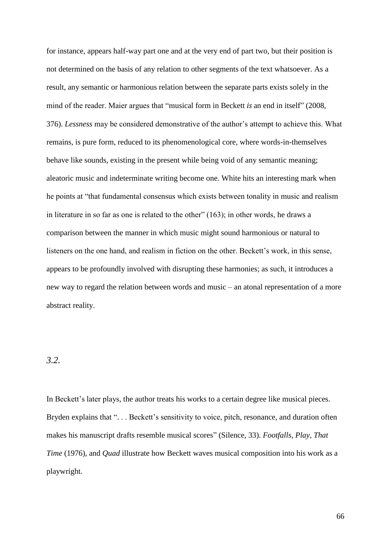for instance, appears half-way part one and at the very end of part two, but their position is not determined on the basis of any relation to other segments of the text whatsoever. As a result, any semantic or harmonious relation between the separate parts exists solely in the mind of the reader. Maier argues that "musical form in Beckett *is* an end in itself" (2008, 376). *Lessness* may be considered demonstrative of the author"s attempt to achieve this. What remains, is pure form, reduced to its phenomenological core, where words-in-themselves behave like sounds, existing in the present while being void of any semantic meaning; aleatoric music and indeterminate writing become one. White hits an interesting mark when he points at "that fundamental consensus which exists between tonality in music and realism in literature in so far as one is related to the other" (163); in other words, he draws a comparison between the manner in which music might sound harmonious or natural to listeners on the one hand, and realism in fiction on the other. Beckett's work, in this sense, appears to be profoundly involved with disrupting these harmonies; as such, it introduces a new way to regard the relation between words and music – an atonal representation of a more abstract reality.

## *3.2.*

In Beckett's later plays, the author treats his works to a certain degree like musical pieces. Bryden explains that "... Beckett's sensitivity to voice, pitch, resonance, and duration often makes his manuscript drafts resemble musical scores" (Silence, 33). *Footfalls*, *Play*, *That Time* (1976), and *Quad* illustrate how Beckett waves musical composition into his work as a playwright.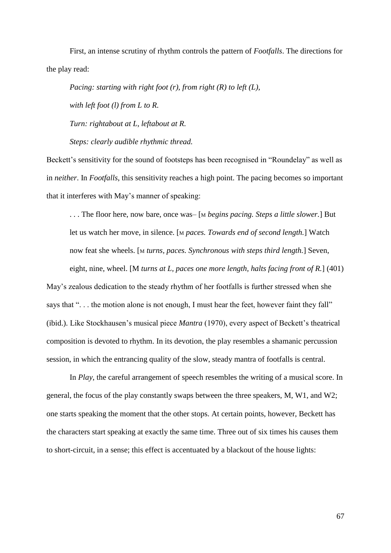First, an intense scrutiny of rhythm controls the pattern of *Footfalls*. The directions for the play read:

*Pacing: starting with right foot (r), from right (R) to left (L), with left foot (l) from L to R. Turn: rightabout at L, leftabout at R.*

*Steps: clearly audible rhythmic thread.*

Beckett's sensitivity for the sound of footsteps has been recognised in "Roundelay" as well as in *neither*. In *Footfalls*, this sensitivity reaches a high point. The pacing becomes so important that it interferes with May"s manner of speaking:

. . . The floor here, now bare, once was– [<sup>M</sup> *begins pacing. Steps a little slower.*] But let us watch her move, in silence. [<sup>M</sup> *paces. Towards end of second length.*] Watch now feat she wheels. [<sup>M</sup> *turns, paces. Synchronous with steps third length.*] Seven,

eight, nine, wheel. [M *turns at L, paces one more length, halts facing front of R.*] (401) May"s zealous dedication to the steady rhythm of her footfalls is further stressed when she says that "... the motion alone is not enough, I must hear the feet, however faint they fall" (ibid.). Like Stockhausen"s musical piece *Mantra* (1970), every aspect of Beckett"s theatrical composition is devoted to rhythm. In its devotion, the play resembles a shamanic percussion session, in which the entrancing quality of the slow, steady mantra of footfalls is central.

In *Play*, the careful arrangement of speech resembles the writing of a musical score. In general, the focus of the play constantly swaps between the three speakers, M, W1, and W2; one starts speaking the moment that the other stops. At certain points, however, Beckett has the characters start speaking at exactly the same time. Three out of six times his causes them to short-circuit, in a sense; this effect is accentuated by a blackout of the house lights: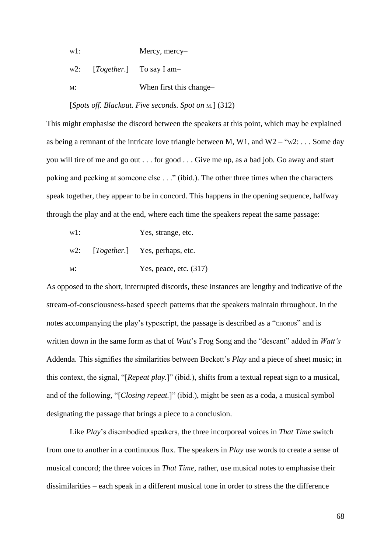w1: Mercy, mercy-

w2: [*Together.*] To say I am-

M: When first this change-

[*Spots off. Blackout. Five seconds. Spot on* M*.*] (312)

This might emphasise the discord between the speakers at this point, which may be explained as being a remnant of the intricate love triangle between M, W1, and W2 – "w2: ... Some day you will tire of me and go out . . . for good . . . Give me up, as a bad job. Go away and start poking and pecking at someone else . . ." (ibid.). The other three times when the characters speak together, they appear to be in concord. This happens in the opening sequence, halfway through the play and at the end, where each time the speakers repeat the same passage:

- w1: Yes, strange, etc.
- w2: [*Together.*] Yes, perhaps, etc.
- M: Yes, peace, etc.  $(317)$

As opposed to the short, interrupted discords, these instances are lengthy and indicative of the stream-of-consciousness-based speech patterns that the speakers maintain throughout. In the notes accompanying the play's typescript, the passage is described as a "CHORUS" and is written down in the same form as that of *Watt*"s Frog Song and the "descant" added in *Watt's* Addenda. This signifies the similarities between Beckett"s *Play* and a piece of sheet music; in this context, the signal, "[*Repeat play.*]" (ibid.), shifts from a textual repeat sign to a musical, and of the following, "[*Closing repeat.*]" (ibid.), might be seen as a coda, a musical symbol designating the passage that brings a piece to a conclusion.

Like *Play*"s disembodied speakers, the three incorporeal voices in *That Time* switch from one to another in a continuous flux. The speakers in *Play* use words to create a sense of musical concord; the three voices in *That Time*, rather, use musical notes to emphasise their dissimilarities – each speak in a different musical tone in order to stress the the difference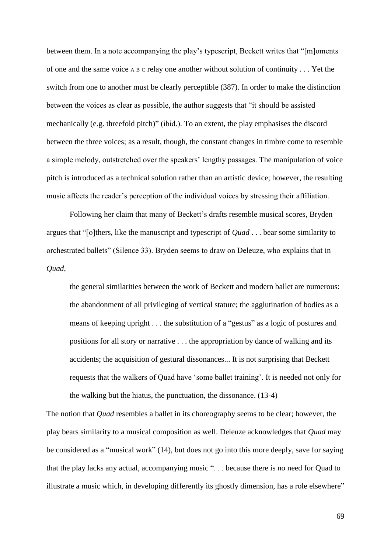between them. In a note accompanying the play"s typescript, Beckett writes that "[m]oments of one and the same voice <sup>A</sup> <sup>B</sup> <sup>C</sup> relay one another without solution of continuity . . . Yet the switch from one to another must be clearly perceptible (387). In order to make the distinction between the voices as clear as possible, the author suggests that "it should be assisted mechanically (e.g. threefold pitch)" (ibid.). To an extent, the play emphasises the discord between the three voices; as a result, though, the constant changes in timbre come to resemble a simple melody, outstretched over the speakers" lengthy passages. The manipulation of voice pitch is introduced as a technical solution rather than an artistic device; however, the resulting music affects the reader's perception of the individual voices by stressing their affiliation.

Following her claim that many of Beckett's drafts resemble musical scores, Bryden argues that "[o]thers, like the manuscript and typescript of *Quad* . . . bear some similarity to orchestrated ballets" (Silence 33). Bryden seems to draw on Deleuze, who explains that in *Quad*,

the general similarities between the work of Beckett and modern ballet are numerous: the abandonment of all privileging of vertical stature; the agglutination of bodies as a means of keeping upright . . . the substitution of a "gestus" as a logic of postures and positions for all story or narrative . . . the appropriation by dance of walking and its accidents; the acquisition of gestural dissonances... It is not surprising that Beckett requests that the walkers of Quad have "some ballet training". It is needed not only for the walking but the hiatus, the punctuation, the dissonance. (13-4)

The notion that *Quad* resembles a ballet in its choreography seems to be clear; however, the play bears similarity to a musical composition as well. Deleuze acknowledges that *Quad* may be considered as a "musical work" (14), but does not go into this more deeply, save for saying that the play lacks any actual, accompanying music ". . . because there is no need for Quad to illustrate a music which, in developing differently its ghostly dimension, has a role elsewhere"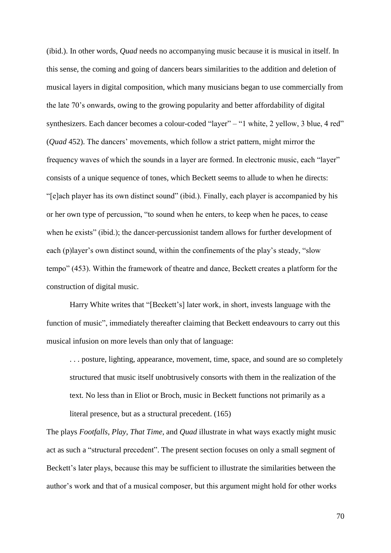(ibid.). In other words, *Quad* needs no accompanying music because it is musical in itself. In this sense, the coming and going of dancers bears similarities to the addition and deletion of musical layers in digital composition, which many musicians began to use commercially from the late 70"s onwards, owing to the growing popularity and better affordability of digital synthesizers. Each dancer becomes a colour-coded "layer" – "1 white, 2 yellow, 3 blue, 4 red" (*Quad* 452). The dancers" movements, which follow a strict pattern, might mirror the frequency waves of which the sounds in a layer are formed. In electronic music, each "layer" consists of a unique sequence of tones, which Beckett seems to allude to when he directs: "[e]ach player has its own distinct sound" (ibid.). Finally, each player is accompanied by his or her own type of percussion, "to sound when he enters, to keep when he paces, to cease when he exists" (ibid.); the dancer-percussionist tandem allows for further development of each (p)layer's own distinct sound, within the confinements of the play's steady, "slow tempo" (453). Within the framework of theatre and dance, Beckett creates a platform for the construction of digital music.

Harry White writes that "[Beckett"s] later work, in short, invests language with the function of music", immediately thereafter claiming that Beckett endeavours to carry out this musical infusion on more levels than only that of language:

. . . posture, lighting, appearance, movement, time, space, and sound are so completely structured that music itself unobtrusively consorts with them in the realization of the text. No less than in Eliot or Broch, music in Beckett functions not primarily as a literal presence, but as a structural precedent. (165)

The plays *Footfalls*, *Play*, *That Time*, and *Quad* illustrate in what ways exactly might music act as such a "structural precedent". The present section focuses on only a small segment of Beckett's later plays, because this may be sufficient to illustrate the similarities between the author"s work and that of a musical composer, but this argument might hold for other works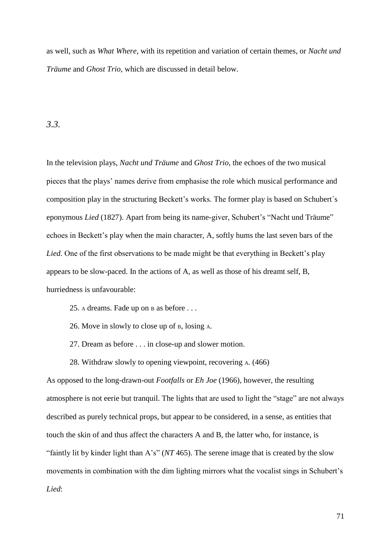as well, such as *What Where*, with its repetition and variation of certain themes, or *Nacht und Träume* and *Ghost Trio*, which are discussed in detail below.

## *3.3.*

In the television plays, *Nacht und Träume* and *Ghost Trio*, the echoes of the two musical pieces that the plays" names derive from emphasise the role which musical performance and composition play in the structuring Beckett's works. The former play is based on Schubert's eponymous *Lied* (1827). Apart from being its name-giver, Schubert's "Nacht und Träume" echoes in Beckett's play when the main character, A, softly hums the last seven bars of the *Lied*. One of the first observations to be made might be that everything in Beckett's play appears to be slow-paced. In the actions of A, as well as those of his dreamt self, B, hurriedness is unfavourable:

- 25. <sup>A</sup> dreams. Fade up on <sup>B</sup> as before . . .
- 26. Move in slowly to close up of B, losing A.
- 27. Dream as before . . . in close-up and slower motion.
- 28. Withdraw slowly to opening viewpoint, recovering A. (466)

As opposed to the long-drawn-out *Footfalls* or *Eh Joe* (1966), however, the resulting atmosphere is not eerie but tranquil. The lights that are used to light the "stage" are not always described as purely technical props, but appear to be considered, in a sense, as entities that touch the skin of and thus affect the characters A and B, the latter who, for instance, is "faintly lit by kinder light than A"s" (*NT* 465). The serene image that is created by the slow movements in combination with the dim lighting mirrors what the vocalist sings in Schubert"s *Lied*: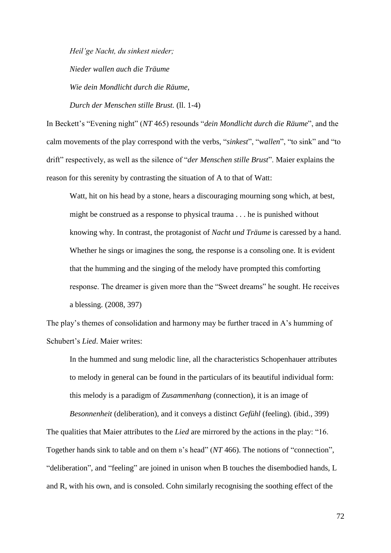*Heil'ge Nacht, du sinkest nieder;*

*Nieder wallen auch die Träume*

*Wie dein Mondlicht durch die Räume,*

*Durch der Menschen stille Brust.* (ll. 1-4)

In Beckett"s "Evening night" (*NT* 465) resounds "*dein Mondlicht durch die Räume*", and the calm movements of the play correspond with the verbs, "*sinkest*", "*wallen*", "to sink" and "to drift" respectively, as well as the silence of "*der Menschen stille Brust*". Maier explains the reason for this serenity by contrasting the situation of A to that of Watt:

Watt, hit on his head by a stone, hears a discouraging mourning song which, at best, might be construed as a response to physical trauma . . . he is punished without knowing why. In contrast, the protagonist of *Nacht und Träume* is caressed by a hand. Whether he sings or imagines the song, the response is a consoling one. It is evident that the humming and the singing of the melody have prompted this comforting response. The dreamer is given more than the "Sweet dreams" he sought. He receives a blessing. (2008, 397)

The play's themes of consolidation and harmony may be further traced in A's humming of Schubert"s *Lied*. Maier writes:

In the hummed and sung melodic line, all the characteristics Schopenhauer attributes to melody in general can be found in the particulars of its beautiful individual form: this melody is a paradigm of *Zusammenhang* (connection), it is an image of

*Besonnenheit* (deliberation), and it conveys a distinct *Gefühl* (feeling). (ibid., 399) The qualities that Maier attributes to the *Lied* are mirrored by the actions in the play: "16. Together hands sink to table and on them B's head" (*NT* 466). The notions of "connection", "deliberation", and "feeling" are joined in unison when B touches the disembodied hands, L and R, with his own, and is consoled. Cohn similarly recognising the soothing effect of the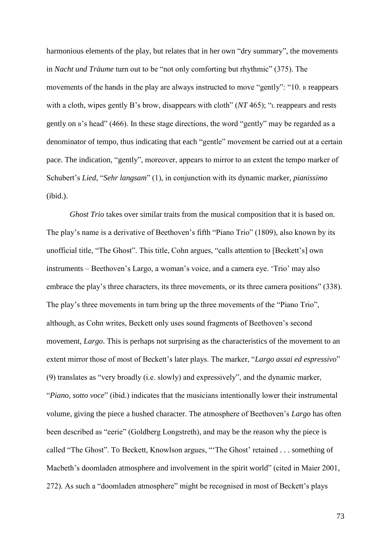harmonious elements of the play, but relates that in her own "dry summary", the movements in *Nacht und Träume* turn out to be "not only comforting but rhythmic" (375). The movements of the hands in the play are always instructed to move "gently": "10. R reappears" with a cloth, wipes gently B's brow, disappears with cloth" (*NT* 465); "L reappears and rests gently on B"s head" (466). In these stage directions, the word "gently" may be regarded as a denominator of tempo, thus indicating that each "gentle" movement be carried out at a certain pace. The indication, "gently", moreover, appears to mirror to an extent the tempo marker of Schubert"s *Lied*, "*Sehr langsam*" (1), in conjunction with its dynamic marker, *pianissimo* (ibid.).

*Ghost Trio* takes over similar traits from the musical composition that it is based on. The play's name is a derivative of Beethoven's fifth "Piano Trio" (1809), also known by its unofficial title, "The Ghost". This title, Cohn argues, "calls attention to [Beckett's] own instruments – Beethoven"s Largo, a woman"s voice, and a camera eye. "Trio" may also embrace the play's three characters, its three movements, or its three camera positions" (338). The play's three movements in turn bring up the three movements of the "Piano Trio", although, as Cohn writes, Beckett only uses sound fragments of Beethoven"s second movement, *Largo*. This is perhaps not surprising as the characteristics of the movement to an extent mirror those of most of Beckett's later plays. The marker, "*Largo assai ed espressivo*" (9) translates as "very broadly (i.e. slowly) and expressively", and the dynamic marker, "*Piano, sotto voce*" (ibid.) indicates that the musicians intentionally lower their instrumental volume, giving the piece a hushed character. The atmosphere of Beethoven"s *Largo* has often been described as "eerie" (Goldberg Longstreth), and may be the reason why the piece is called "The Ghost". To Beckett, Knowlson argues, ""The Ghost" retained . . . something of Macbeth's doomladen atmosphere and involvement in the spirit world" (cited in Maier 2001, 272). As such a "doomladen atmosphere" might be recognised in most of Beckett"s plays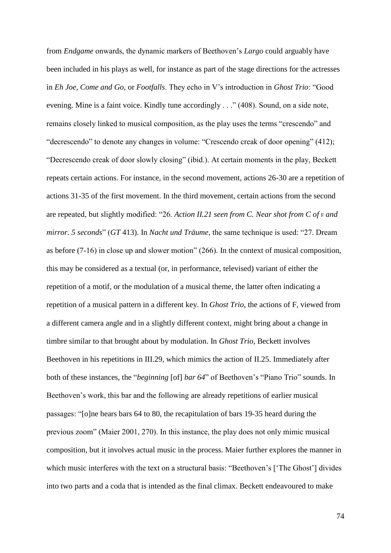from *Endgame* onwards, the dynamic markers of Beethoven"s *Largo* could arguably have been included in his plays as well, for instance as part of the stage directions for the actresses in *Eh Joe*, *Come and Go*, or *Footfalls*. They echo in V"s introduction in *Ghost Trio*: "Good evening. Mine is a faint voice. Kindly tune accordingly . . ." (408). Sound, on a side note, remains closely linked to musical composition, as the play uses the terms "crescendo" and "decrescendo" to denote any changes in volume: "Crescendo creak of door opening" (412); "Decrescendo creak of door slowly closing" (ibid.). At certain moments in the play, Beckett repeats certain actions. For instance, in the second movement, actions 26-30 are a repetition of actions 31-35 of the first movement. In the third movement, certain actions from the second are repeated, but slightly modified: "26. Action II.21 seen from C. Near shot from C of **F** and *mirror. 5 seconds*" (*GT* 413). In *Nacht und Träume*, the same technique is used: "27. Dream as before (7-16) in close up and slower motion" (266). In the context of musical composition, this may be considered as a textual (or, in performance, televised) variant of either the repetition of a motif, or the modulation of a musical theme, the latter often indicating a repetition of a musical pattern in a different key. In *Ghost Trio*, the actions of F, viewed from a different camera angle and in a slightly different context, might bring about a change in timbre similar to that brought about by modulation. In *Ghost Trio*, Beckett involves Beethoven in his repetitions in III.29, which mimics the action of II.25. Immediately after both of these instances, the "*beginning* [of] *bar 64*" of Beethoven"s "Piano Trio" sounds. In Beethoven's work, this bar and the following are already repetitions of earlier musical passages: "[o]ne hears bars 64 to 80, the recapitulation of bars 19-35 heard during the previous zoom" (Maier 2001, 270). In this instance, the play does not only mimic musical composition, but it involves actual music in the process. Maier further explores the manner in which music interferes with the text on a structural basis: "Beethoven's ['The Ghost'] divides into two parts and a coda that is intended as the final climax. Beckett endeavoured to make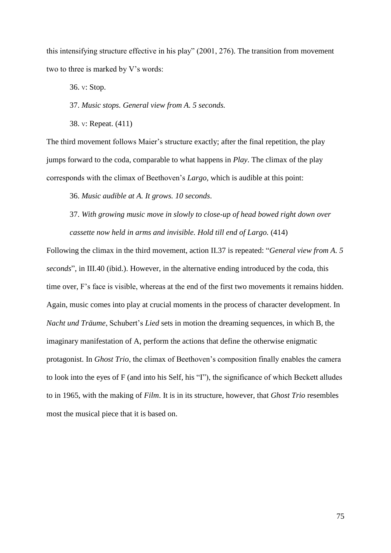this intensifying structure effective in his play" (2001, 276). The transition from movement two to three is marked by V"s words:

36. V: Stop.

37. *Music stops. General view from A. 5 seconds.*

38. V: Repeat. (411)

The third movement follows Maier"s structure exactly; after the final repetition, the play jumps forward to the coda, comparable to what happens in *Play*. The climax of the play corresponds with the climax of Beethoven"s *Largo*, which is audible at this point:

36. *Music audible at A. It grows. 10 seconds*.

37. *With growing music move in slowly to close-up of head bowed right down over cassette now held in arms and invisible. Hold till end of Largo.* (414)

Following the climax in the third movement, action II.37 is repeated: "*General view from A. 5 seconds*", in III.40 (ibid.). However, in the alternative ending introduced by the coda, this time over, F"s face is visible, whereas at the end of the first two movements it remains hidden. Again, music comes into play at crucial moments in the process of character development. In *Nacht und Träume*, Schubert"s *Lied* sets in motion the dreaming sequences, in which B, the imaginary manifestation of A, perform the actions that define the otherwise enigmatic protagonist. In *Ghost Trio*, the climax of Beethoven"s composition finally enables the camera to look into the eyes of F (and into his Self, his "I"), the significance of which Beckett alludes to in 1965, with the making of *Film*. It is in its structure, however, that *Ghost Trio* resembles most the musical piece that it is based on.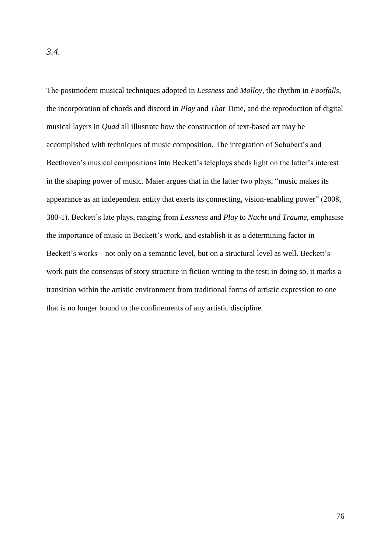The postmodern musical techniques adopted in *Lessness* and *Molloy*, the rhythm in *Footfalls*, the incorporation of chords and discord in *Play* and *That* Time, and the reproduction of digital musical layers in *Quad* all illustrate how the construction of text-based art may be accomplished with techniques of music composition. The integration of Schubert's and Beethoven's musical compositions into Beckett's teleplays sheds light on the latter's interest in the shaping power of music. Maier argues that in the latter two plays, "music makes its appearance as an independent entity that exerts its connecting, vision-enabling power" (2008, 380-1). Beckett"s late plays, ranging from *Lessness* and *Play* to *Nacht und Träume*, emphasise the importance of music in Beckett"s work, and establish it as a determining factor in Beckett's works – not only on a semantic level, but on a structural level as well. Beckett's work puts the consensus of story structure in fiction writing to the test; in doing so, it marks a transition within the artistic environment from traditional forms of artistic expression to one that is no longer bound to the confinements of any artistic discipline.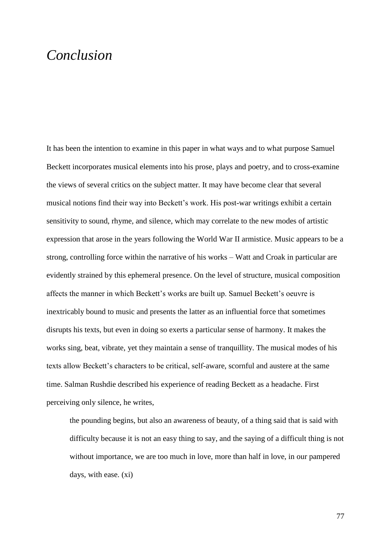### *Conclusion*

It has been the intention to examine in this paper in what ways and to what purpose Samuel Beckett incorporates musical elements into his prose, plays and poetry, and to cross-examine the views of several critics on the subject matter. It may have become clear that several musical notions find their way into Beckett"s work. His post-war writings exhibit a certain sensitivity to sound, rhyme, and silence, which may correlate to the new modes of artistic expression that arose in the years following the World War II armistice. Music appears to be a strong, controlling force within the narrative of his works – Watt and Croak in particular are evidently strained by this ephemeral presence. On the level of structure, musical composition affects the manner in which Beckett's works are built up. Samuel Beckett's oeuvre is inextricably bound to music and presents the latter as an influential force that sometimes disrupts his texts, but even in doing so exerts a particular sense of harmony. It makes the works sing, beat, vibrate, yet they maintain a sense of tranquillity. The musical modes of his texts allow Beckett"s characters to be critical, self-aware, scornful and austere at the same time. Salman Rushdie described his experience of reading Beckett as a headache. First perceiving only silence, he writes,

the pounding begins, but also an awareness of beauty, of a thing said that is said with difficulty because it is not an easy thing to say, and the saying of a difficult thing is not without importance, we are too much in love, more than half in love, in our pampered days, with ease. (xi)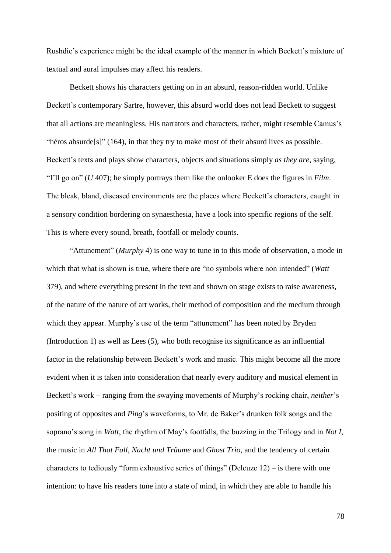Rushdie's experience might be the ideal example of the manner in which Beckett's mixture of textual and aural impulses may affect his readers.

Beckett shows his characters getting on in an absurd, reason-ridden world. Unlike Beckett's contemporary Sartre, however, this absurd world does not lead Beckett to suggest that all actions are meaningless. His narrators and characters, rather, might resemble Camus"s "héros absurde[s]"  $(164)$ , in that they try to make most of their absurd lives as possible. Beckett"s texts and plays show characters, objects and situations simply *as they are*, saying, "I"ll go on" (*U* 407); he simply portrays them like the onlooker E does the figures in *Film*. The bleak, bland, diseased environments are the places where Beckett's characters, caught in a sensory condition bordering on synaesthesia, have a look into specific regions of the self. This is where every sound, breath, footfall or melody counts.

"Attunement" (*Murphy* 4) is one way to tune in to this mode of observation, a mode in which that what is shown is true, where there are "no symbols where non intended" (*Watt* 379), and where everything present in the text and shown on stage exists to raise awareness, of the nature of the nature of art works, their method of composition and the medium through which they appear. Murphy's use of the term "attunement" has been noted by Bryden (Introduction 1) as well as Lees (5), who both recognise its significance as an influential factor in the relationship between Beckett's work and music. This might become all the more evident when it is taken into consideration that nearly every auditory and musical element in Beckett's work – ranging from the swaying movements of Murphy's rocking chair, *neither's* positing of opposites and *Ping*"s waveforms, to Mr. de Baker"s drunken folk songs and the soprano"s song in *Watt*, the rhythm of May"s footfalls, the buzzing in the Trilogy and in *Not I*, the music in *All That Fall*, *Nacht und Träume* and *Ghost Trio*, and the tendency of certain characters to tediously "form exhaustive series of things" (Deleuze 12) – is there with one intention: to have his readers tune into a state of mind, in which they are able to handle his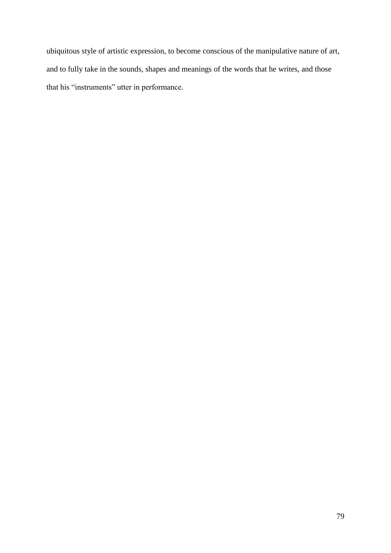ubiquitous style of artistic expression, to become conscious of the manipulative nature of art, and to fully take in the sounds, shapes and meanings of the words that he writes, and those that his "instruments" utter in performance.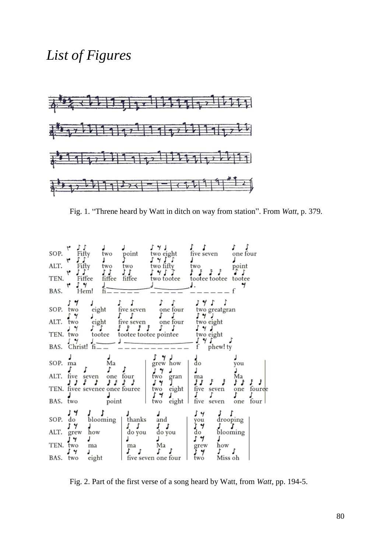## *List of Figures*



Fig. 1. "Threne heard by Watt in ditch on way from station". From *Watt*, p. 379.



Fig. 2. Part of the first verse of a song heard by Watt, from *Watt*, pp. 194-5.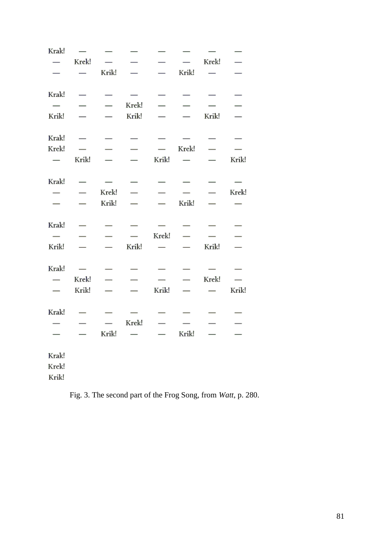| Krak!                    |                          |                          |                          |                                          |                          |                                  |                          |
|--------------------------|--------------------------|--------------------------|--------------------------|------------------------------------------|--------------------------|----------------------------------|--------------------------|
| $\overline{\phantom{0}}$ | Krek!                    |                          |                          | $\overline{\phantom{0}}$                 |                          | Krek!                            | $\equiv$                 |
|                          | $\frac{1}{1}$            | Krik!                    |                          | $\overline{\phantom{0}}$                 | Krik!                    | $\overline{\phantom{0}}$         |                          |
| Krak!                    | $\sim$ $-$               |                          | $\equiv$                 | $-$                                      | $\overline{\phantom{0}}$ |                                  | $\overline{\phantom{0}}$ |
| $\overline{\phantom{0}}$ |                          | $\overline{\phantom{0}}$ | Krek!                    | $\overline{\phantom{0}}$                 |                          |                                  | $\overline{\phantom{0}}$ |
| Krik!                    |                          |                          | Krik!                    | $-$                                      |                          | Krik!                            | $\overline{\phantom{0}}$ |
| Krak!                    | $\overline{\phantom{a}}$ | $\qquad \qquad -$        | $\overline{\phantom{0}}$ |                                          | $\sim$                   |                                  |                          |
| Krek!                    |                          | $\overline{\phantom{0}}$ | $\sim$ $-$               | $\overline{\phantom{0}}$                 | Krek! —                  |                                  |                          |
| $\overline{\phantom{0}}$ | Krik!                    |                          |                          | Krik!                                    | $\sim$                   |                                  | Krik!                    |
| Krak!                    |                          | $\overline{\phantom{0}}$ |                          |                                          |                          | $\overbrace{\phantom{12322111}}$ |                          |
| $\overline{\phantom{0}}$ | $\overline{\phantom{0}}$ | Krek!                    | $\sim$ $-$               |                                          |                          | $\sim$ $-$                       | Krek!                    |
|                          | $\overline{\phantom{0}}$ | Krik!                    | $\equiv$                 | $\sim$                                   | Krik!                    |                                  | $\overline{\phantom{0}}$ |
| Krak!                    | $\overline{\phantom{0}}$ |                          |                          | $\sim$                                   |                          |                                  | $\overline{\phantom{0}}$ |
| $\overline{\phantom{0}}$ | $\overline{\phantom{0}}$ | $\overline{\phantom{a}}$ | $\overline{\phantom{a}}$ | Krek!                                    | $\overline{\phantom{0}}$ |                                  | $\overline{\phantom{0}}$ |
| Krik!                    | $\frac{1}{1}$            | $\equiv$                 | Krik!                    | $\frac{1}{2} \left( \frac{1}{2} \right)$ |                          | Krik!                            |                          |
| Krak!                    | $\overline{\phantom{0}}$ | $\qquad \qquad$          |                          |                                          |                          |                                  |                          |
| $\overline{\phantom{0}}$ | Krek!                    | $\overline{\phantom{0}}$ | $\overline{\phantom{0}}$ | $\overline{\phantom{0}}$                 | $\qquad \qquad$          | Krek!                            | $\frac{1}{1}$            |
| $\overline{\phantom{0}}$ | Krik!                    | $\overline{\phantom{0}}$ | $\overline{\phantom{0}}$ | Krik!                                    | $\overline{\phantom{0}}$ | $\overline{\phantom{0}}$         | Krik!                    |
| Krak!                    | $\overline{\phantom{0}}$ |                          | $\overline{\phantom{0}}$ |                                          |                          | $\overline{\phantom{0}}$         | $\overline{\phantom{0}}$ |
|                          | $\overline{\phantom{0}}$ | $\overline{\phantom{0}}$ | Krek!                    | $\overline{\phantom{0}}$                 | $\overline{\phantom{0}}$ | $\overline{\phantom{0}}$         | $\overline{\phantom{0}}$ |
|                          | $\overline{\phantom{0}}$ | Krik!                    |                          | $\sim$ $-$                               | Krik! —                  |                                  |                          |
| Krak!                    |                          |                          |                          |                                          |                          |                                  |                          |
| Krek!                    |                          |                          |                          |                                          |                          |                                  |                          |
| Krik!                    |                          |                          |                          |                                          |                          |                                  |                          |

Fig. 3. The second part of the Frog Song, from *Watt*, p. 280.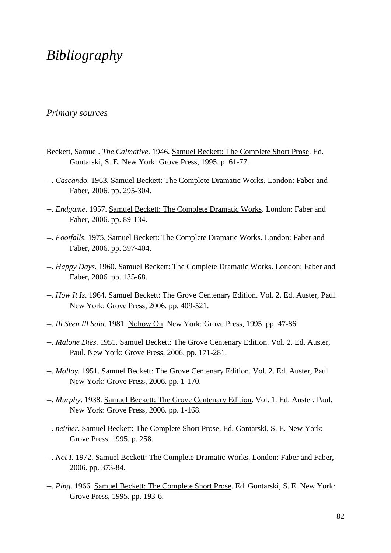# *Bibliography*

### *Primary sources*

- Beckett, Samuel. *The Calmative*. 1946. Samuel Beckett: The Complete Short Prose. Ed. Gontarski, S. E. New York: Grove Press, 1995. p. 61-77.
- --. *Cascando*. 1963. Samuel Beckett: The Complete Dramatic Works. London: Faber and Faber, 2006. pp. 295-304.
- --. *Endgame*. 1957. Samuel Beckett: The Complete Dramatic Works. London: Faber and Faber, 2006. pp. 89-134.
- --. *Footfalls*. 1975. Samuel Beckett: The Complete Dramatic Works. London: Faber and Faber, 2006. pp. 397-404.
- --. *Happy Days*. 1960. Samuel Beckett: The Complete Dramatic Works. London: Faber and Faber, 2006. pp. 135-68.
- --. *How It Is*. 1964. Samuel Beckett: The Grove Centenary Edition. Vol. 2. Ed. Auster, Paul. New York: Grove Press, 2006. pp. 409-521.
- --. *Ill Seen Ill Said*. 1981. Nohow On. New York: Grove Press, 1995. pp. 47-86.
- --. *Malone Dies*. 1951. Samuel Beckett: The Grove Centenary Edition. Vol. 2. Ed. Auster, Paul. New York: Grove Press, 2006. pp. 171-281.
- --. *Molloy*. 1951. Samuel Beckett: The Grove Centenary Edition. Vol. 2. Ed. Auster, Paul. New York: Grove Press, 2006. pp. 1-170.
- --. *Murphy*. 1938. Samuel Beckett: The Grove Centenary Edition. Vol. 1. Ed. Auster, Paul. New York: Grove Press, 2006. pp. 1-168.
- --. *neither*. Samuel Beckett: The Complete Short Prose. Ed. Gontarski, S. E. New York: Grove Press, 1995. p. 258.
- --. *Not I*. 1972. Samuel Beckett: The Complete Dramatic Works. London: Faber and Faber, 2006. pp. 373-84.
- --. *Ping*. 1966. Samuel Beckett: The Complete Short Prose. Ed. Gontarski, S. E. New York: Grove Press, 1995. pp. 193-6.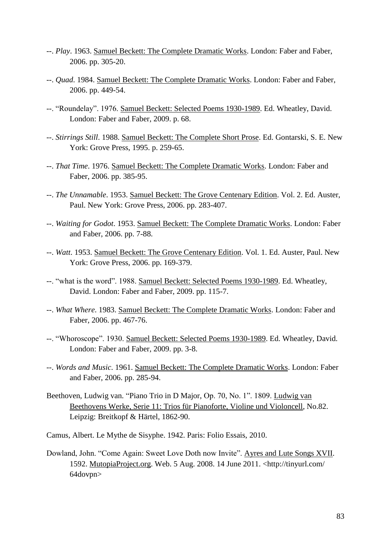- --. *Play*. 1963. Samuel Beckett: The Complete Dramatic Works. London: Faber and Faber, 2006. pp. 305-20.
- --. *Quad*. 1984. Samuel Beckett: The Complete Dramatic Works. London: Faber and Faber, 2006. pp. 449-54.
- --. "Roundelay". 1976. Samuel Beckett: Selected Poems 1930-1989. Ed. Wheatley, David. London: Faber and Faber, 2009. p. 68.
- --. *Stirrings Still*. 1988. Samuel Beckett: The Complete Short Prose. Ed. Gontarski, S. E. New York: Grove Press, 1995. p. 259-65.
- --. *That Time*. 1976. Samuel Beckett: The Complete Dramatic Works. London: Faber and Faber, 2006. pp. 385-95.
- --. *The Unnamable*. 1953. Samuel Beckett: The Grove Centenary Edition. Vol. 2. Ed. Auster, Paul. New York: Grove Press, 2006. pp. 283-407.
- --. *Waiting for Godot*. 1953. Samuel Beckett: The Complete Dramatic Works. London: Faber and Faber, 2006. pp. 7-88.
- --. *Watt*. 1953. Samuel Beckett: The Grove Centenary Edition. Vol. 1. Ed. Auster, Paul. New York: Grove Press, 2006. pp. 169-379.
- --. "what is the word". 1988. Samuel Beckett: Selected Poems 1930-1989. Ed. Wheatley, David. London: Faber and Faber, 2009. pp. 115-7.
- --. *What Where*. 1983. Samuel Beckett: The Complete Dramatic Works. London: Faber and Faber, 2006. pp. 467-76.
- --. "Whoroscope". 1930. Samuel Beckett: Selected Poems 1930-1989. Ed. Wheatley, David. London: Faber and Faber, 2009. pp. 3-8.
- --. *Words and Music*. 1961. Samuel Beckett: The Complete Dramatic Works. London: Faber and Faber, 2006. pp. 285-94.
- Beethoven, Ludwig van. "Piano Trio in D Major, Op. 70, No. 1". 1809. [Ludwig van](http://imslp.org/wiki/Ludwig_van_Beethoven:_Ludwig_van_Beethovens_Werke)  [Beethovens Werke,](http://imslp.org/wiki/Ludwig_van_Beethoven:_Ludwig_van_Beethovens_Werke) Serie 11: Trios für Pianoforte, Violine und Violoncell, No.82. Leipzig: Breitkopf & Härtel, 1862-90.
- Camus, Albert. Le Mythe de Sisyphe. 1942. Paris: Folio Essais, 2010.
- Dowland, John. "Come Again: Sweet Love Doth now Invite". Ayres and Lute Songs XVII. 1592. MutopiaProject.org. Web. 5 Aug. 2008. 14 June 2011. <http://tinyurl.com/ 64dovpn>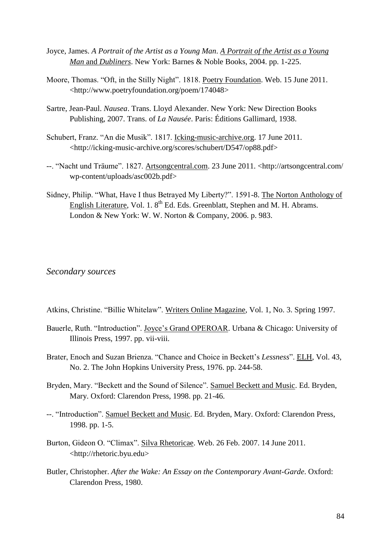- Joyce, James. *A Portrait of the Artist as a Young Man*. *A Portrait of the Artist as a Young Man* and *Dubliners*. New York: Barnes & Noble Books, 2004. pp. 1-225.
- Moore, Thomas. "Oft, in the Stilly Night". 1818. Poetry Foundation. Web. 15 June 2011. <http://www.poetryfoundation.org/poem/174048>
- Sartre, Jean-Paul. *Nausea*. Trans. Lloyd Alexander. New York: New Direction Books Publishing, 2007. Trans. of *La Nausée*. Paris: Éditions Gallimard, 1938.
- Schubert, Franz. "An die Musik". 1817. Icking-music-archive.org. 17 June 2011. <http://icking-music-archive.org/scores/schubert/D547/op88.pdf>
- --. "Nacht und Träume". 1827. Artsongcentral.com. 23 June 2011. <http://artsongcentral.com/ wp-content/uploads/asc002b.pdf>
- Sidney, Philip. "What, Have I thus Betrayed My Liberty?". 1591-8. The Norton Anthology of English Literature, Vol. 1.  $8<sup>th</sup>$  Ed. Eds. Greenblatt, Stephen and M. H. Abrams. London & New York: W. W. Norton & Company, 2006. p. 983.

### *Secondary sources*

- Atkins, Christine. "Billie Whitelaw". Writers Online Magazine, Vol. 1, No. 3. Spring 1997.
- Bauerle, Ruth. "Introduction". Joyce"s Grand OPEROAR. Urbana & Chicago: University of Illinois Press, 1997. pp. vii-viii.
- Brater, Enoch and Suzan Brienza. "Chance and Choice in Beckett's *Lessness*". ELH, Vol. 43, No. 2. The John Hopkins University Press, 1976. pp. 244-58.
- Bryden, Mary. "Beckett and the Sound of Silence". Samuel Beckett and Music. Ed. Bryden, Mary. Oxford: Clarendon Press, 1998. pp. 21-46.
- --. "Introduction". Samuel Beckett and Music. Ed. Bryden, Mary. Oxford: Clarendon Press, 1998. pp. 1-5.
- Burton, Gideon O. "Climax". Silva Rhetoricae. Web. 26 Feb. 2007. 14 June 2011. <http://rhetoric.byu.edu>
- Butler, Christopher. *After the Wake: An Essay on the Contemporary Avant-Garde*. Oxford: Clarendon Press, 1980.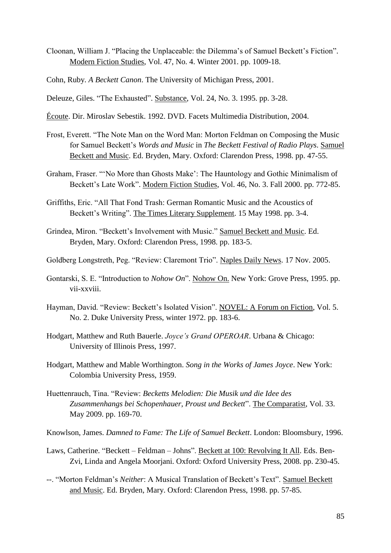- Cloonan, William J. "Placing the Unplaceable: the Dilemma"s of Samuel Beckett"s Fiction". Modern Fiction Studies, Vol. 47, No. 4. Winter 2001. pp. 1009-18.
- Cohn, Ruby. *A Beckett Canon*. The University of Michigan Press, 2001.
- Deleuze, Giles. "The Exhausted". Substance, Vol. 24, No. 3. 1995. pp. 3-28.
- Écoute. Dir. Miroslav Sebestik. 1992. DVD. Facets Multimedia Distribution, 2004.
- Frost, Everett. "The Note Man on the Word Man: Morton Feldman on Composing the Music for Samuel Beckett"s *Words and Music* in *The Beckett Festival of Radio Plays*. Samuel Beckett and Music. Ed. Bryden, Mary. Oxford: Clarendon Press, 1998. pp. 47-55.
- Graham, Fraser. ""No More than Ghosts Make": The Hauntology and Gothic Minimalism of Beckett's Late Work". Modern Fiction Studies, Vol. 46, No. 3. Fall 2000. pp. 772-85.
- Griffiths, Eric. "All That Fond Trash: German Romantic Music and the Acoustics of Beckett's Writing". The Times Literary Supplement. 15 May 1998. pp. 3-4.
- Grindea, Miron. "Beckett"s Involvement with Music." Samuel Beckett and Music. Ed. Bryden, Mary. Oxford: Clarendon Press, 1998. pp. 183-5.
- Goldberg Longstreth, Peg. "Review: Claremont Trio". Naples Daily News. 17 Nov. 2005.
- Gontarski, S. E. "Introduction to *Nohow On*". Nohow On. New York: Grove Press, 1995. pp. vii-xxviii.
- Hayman, David. "Review: Beckett's Isolated Vision". NOVEL: A Forum on Fiction, Vol. 5. No. 2. Duke University Press, winter 1972. pp. 183-6.
- Hodgart, Matthew and Ruth Bauerle. *Joyce's Grand OPEROAR*. Urbana & Chicago: University of Illinois Press, 1997.
- Hodgart, Matthew and Mable Worthington. *Song in the Works of James Joyce*. New York: Colombia University Press, 1959.
- Huettenrauch, Tina. "Review: *Becketts Melodien: Die Musik und die Idee des Zusammenhangs bei Schopenhauer, Proust und Beckett*". The Comparatist, Vol. 33. May 2009. pp. 169-70.
- Knowlson, James. *Damned to Fame: The Life of Samuel Beckett*. London: Bloomsbury, 1996.
- Laws, Catherine. "Beckett Feldman Johns". Beckett at 100: Revolving It All. Eds. Ben-Zvi, Linda and Angela Moorjani. Oxford: Oxford University Press, 2008. pp. 230-45.
- --. "Morton Feldman"s *Neither*: A Musical Translation of Beckett"s Text". Samuel Beckett and Music. Ed. Bryden, Mary. Oxford: Clarendon Press, 1998. pp. 57-85.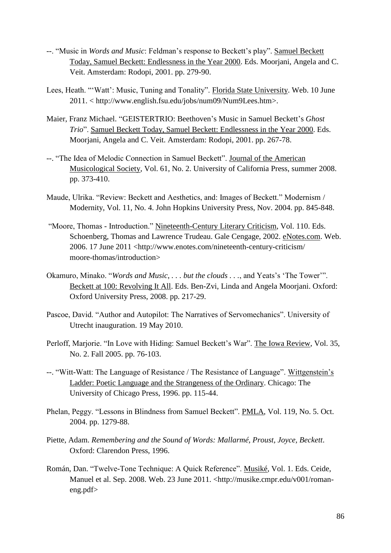- --. "Music in *Words and Music*: Feldman"s response to Beckett"s play". Samuel Beckett Today, Samuel Beckett: Endlessness in the Year 2000. Eds. Moorjani, Angela and C. Veit. Amsterdam: Rodopi, 2001. pp. 279-90.
- Lees, Heath. ""Watt": Music, Tuning and Tonality". Florida State University. Web. 10 June 2011. < http://www.english.fsu.edu/jobs/num09/Num9Lees.htm>.
- Maier, Franz Michael. "GEISTERTRIO: Beethoven"s Music in Samuel Beckett"s *Ghost Trio*". Samuel Beckett Today, Samuel Beckett: Endlessness in the Year 2000. Eds. Moorjani, Angela and C. Veit. Amsterdam: Rodopi, 2001. pp. 267-78.
- --. "The Idea of Melodic Connection in Samuel Beckett". Journal of the American Musicological Society, Vol. 61, No. 2. University of California Press, summer 2008. pp. 373-410.
- Maude, Ulrika. "Review: Beckett and Aesthetics, and: Images of Beckett." Modernism / Modernity, Vol. 11, No. 4. John Hopkins University Press, Nov. 2004. pp. 845-848.
- "Moore, Thomas Introduction." Nineteenth-Century Literary Criticism, Vol. 110. Eds. Schoenberg, Thomas and Lawrence Trudeau. Gale Cengage, 2002. eNotes.com. Web. 2006. 17 June 2011 <http://www.enotes.com/nineteenth-century-criticism/ moore-thomas/introduction>
- Okamuro, Minako. "*Words and Music*, . . . *but the clouds* . . ., and Yeats's 'The Tower'". Beckett at 100: Revolving It All. Eds. Ben-Zvi, Linda and Angela Moorjani. Oxford: Oxford University Press, 2008. pp. 217-29.
- Pascoe, David. "Author and Autopilot: The Narratives of Servomechanics". University of Utrecht inauguration. 19 May 2010.
- Perloff, Marjorie. "In Love with Hiding: Samuel Beckett's War". The Iowa Review, Vol. 35, No. 2. Fall 2005. pp. 76-103.
- --. "Witt-Watt: The Language of Resistance / The Resistance of Language". Wittgenstein"s Ladder: Poetic Language and the Strangeness of the Ordinary. Chicago: The University of Chicago Press, 1996. pp. 115-44.
- Phelan, Peggy. "Lessons in Blindness from Samuel Beckett". PMLA, Vol. 119, No. 5. Oct. 2004. pp. 1279-88.
- Piette, Adam. *Remembering and the Sound of Words: Mallarmé, Proust, Joyce, Beckett*. Oxford: Clarendon Press, 1996.
- Román, Dan. "Twelve-Tone Technique: A Quick Reference". Musiké, Vol. 1. Eds. Ceide, Manuel et al. Sep. 2008. Web. 23 June 2011. <http://musike.cmpr.edu/v001/romaneng.pdf>